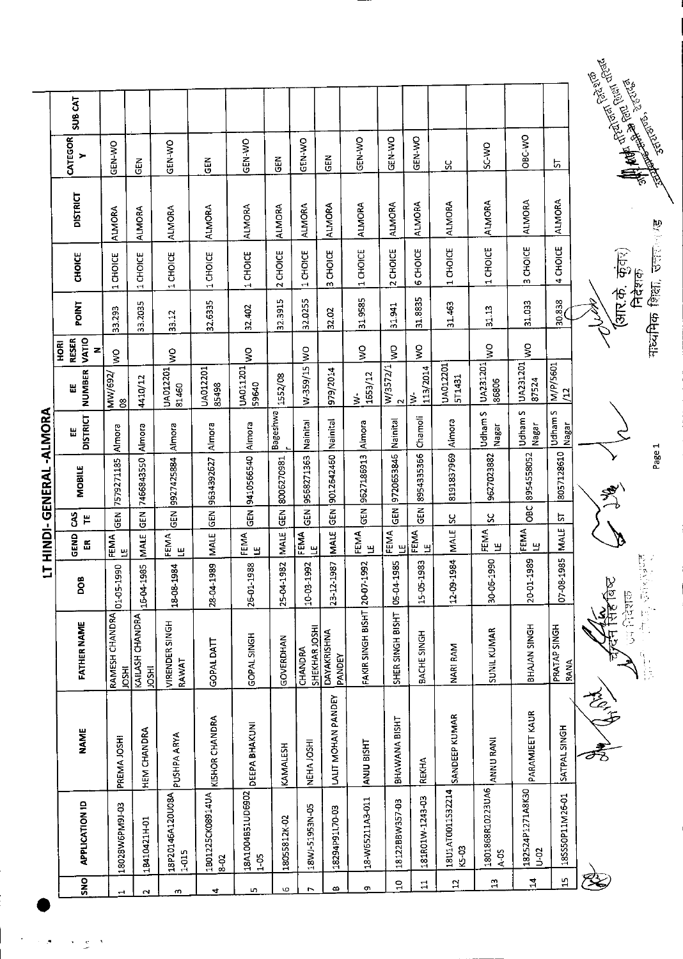|                               |                      |                                 | 그               |                        |                       | HINDI-GENERAL-ALMORA |                             |                         |                                                  |              |                                    |                 |                          |                                                                                                                                                                                                                                      |
|-------------------------------|----------------------|---------------------------------|-----------------|------------------------|-----------------------|----------------------|-----------------------------|-------------------------|--------------------------------------------------|--------------|------------------------------------|-----------------|--------------------------|--------------------------------------------------------------------------------------------------------------------------------------------------------------------------------------------------------------------------------------|
| APPLICATION ID                | <b>NAME</b>          | <b>FATHER NAME</b>              | <b>DOG</b>      | GEND<br>出              | $\mathbf{3}$<br>$\mu$ | <b>MOBILE</b>        | <b>DISTRICT</b><br>붑        | <b>NUMBER</b><br>Ш      | <b>VATIO</b><br><b>RESER</b><br><b>HORI</b><br>Z | <b>POINT</b> | <b>CHOICE</b>                      | <b>DISTRICT</b> | CATEGOR<br>≻             | <b>SUB CAT</b>                                                                                                                                                                                                                       |
| 18028W6PM9J-03                | PREMA JOSHI          | RAMESH CHANDRA<br><b>IRSOL</b>  | 01-05-1990      | FEMA<br>$\mathbf{H}$   | こと<br>この              | 7579271185           | Almora                      | MW/692/<br>08           | $\frac{8}{5}$                                    | 33.293       | 1 CHOICE                           | <b>ALMORA</b>   | GEN-WO                   |                                                                                                                                                                                                                                      |
| 18410421H-01                  | <b>HEM CHANDRA</b>   | KAILASH CHANDRA<br><b>IRSOL</b> | 16-04-1985      | MAIE                   | <b>GEN</b>            | 7466843550           | Almora                      | 410/12                  |                                                  | 33.2035      | 1 CHOICE                           | <b>ALMORA</b>   | $\tilde{d}$              |                                                                                                                                                                                                                                      |
| 18P20146A120U08A<br>$1-015$   | PUSHPA ARYA          | VIRENDER SINGH<br>RAWAT         | 18-08-1984      | FEMA<br>୳              | GEN                   | 9927425884           | Almora                      | UA012201<br>81450       | $\overline{\mathsf{S}}$                          | 33.12        | 1 CHOICE                           | <b>ALMORA</b>   | GEN-WO                   |                                                                                                                                                                                                                                      |
| 1B01225CK08914UA<br>8-02      | KISHOR CHANDRA       | GOPAL DATT                      | 28-04-1989      | MALE                   | $\tilde{\mathbb{E}}$  | 9634392627           | Almora                      | UA012201<br>85498       |                                                  | 32.6335      | 1 CHOICE                           | <b>ALMORA</b>   | $\frac{2}{9}$            |                                                                                                                                                                                                                                      |
| 18A1004B51UD6902<br>$1 - 0.5$ | <b>DEEPA BHAKUNI</b> | GOPAL SINGH                     | 26-01-1988      | FEMA<br>$\mathbf{u}$   | $\overline{5}$        | 9410566540           | Almora                      | UA011201<br>59640       | $\mathsf{S}$                                     | 32.402       | 1 CHOICE                           | <b>ALMORA</b>   | GEN-WO                   |                                                                                                                                                                                                                                      |
| 18055812K-02                  | KAMALESH             | GOVERDHAN                       | 25-04-1982      | <b>MALE</b>            | GEN <sup>T</sup>      | 8006270981           | Bageshwa                    | 1552/08                 |                                                  | 32.3915      | 2 CHOICE                           | <b>ALMORA</b>   | $\widetilde{\mathsf{G}}$ |                                                                                                                                                                                                                                      |
| 18WJ-51953N-05                | NEHA JOSHI           | SHEKHAR JOSHI<br>CHANDRA        | 10-03-1992      | FEMA<br>۳              | $rac{1}{6}$           | 9568271363           | Nainital                    | W-359/15                | $\frac{1}{2}$                                    | 32.0255      | 1 CHOICE                           | <b>ALMORA</b>   | GEN-WO                   |                                                                                                                                                                                                                                      |
| 18294P91L70-03                | LALIT MOHAN PANDEY   | DAYAKRISHNA<br>PANDEY           | 23-12-1987      | MALE                   | $\tilde{\mathbf{g}}$  | 9012642460           | Nainital                    | 979/2014                |                                                  | 32.02        | 3 CHOICE                           | ALMORA          | <b>GEN</b>               |                                                                                                                                                                                                                                      |
| 18-W65211A3-011               | ANJU BISHT           | FAKIR SINGH BISHT 20-07-1992    |                 | <b>FEMA</b><br>LE      | $rac{1}{3}$           | 9627186913           | Almora                      | 1653/12<br>$\dot{\geq}$ | $\frac{8}{5}$                                    | 31.9585      | 1 CHOICE                           | ALMORA          | GEN-WO                   |                                                                                                                                                                                                                                      |
| 18122BBW357-03                | BHAWANA BISHT        | SHER SINGH BISHT                | 05-04-1985      | FEMA<br>Щ              | <b>GEN</b>            | 9720653846           | Nainital                    | W/3572/1<br>$\sim$      | $\frac{1}{5}$                                    | 31.941       | 2 CHOICE                           | <b>ALMORA</b>   | GEN-WO                   |                                                                                                                                                                                                                                      |
| 181R01W-1243-03               | <b>REKHA</b>         | BACHE SINGH                     | m<br>15-05-198  | <b>FEMA</b><br>LE      | 집)                    | 8954335356           | Chamoli                     | 113/2014<br>$\geq$      | $\frac{8}{5}$                                    | 31.8835      | 6 CHOICE                           | ALMORA          | GEN-WO                   |                                                                                                                                                                                                                                      |
| 18U1AT0011S32214<br>K5-03     | SANDEEP KUMAR        | NARI RAM                        | 12-09-1984      | MALE                   | S.                    | 8191837969           | Almora                      | UA012201<br>5T1431      |                                                  | 31.463       | CHOICE<br>$\overline{\phantom{0}}$ | <b>ALMORA</b>   | χ                        |                                                                                                                                                                                                                                      |
| 1801868R10223UA6<br>$A-0.5$   | ANNU RANI            | SUNIL KUMAR                     | 30-06-1990      | <b>FEMA</b><br>LE      | ပ္တ                   | 9627023882           | Udham S<br>Nagar            | UA231201<br>86806       | $\frac{0}{5}$                                    | 31.13        | 1 CHOICE                           | ALMORA          | SC-WO                    |                                                                                                                                                                                                                                      |
| 182524P1271A8K30<br>$0 - 02$  | PARAMJEET KAUR       | BHAJAN SINGH                    | 20-01-1989      | FEMA<br>$\mathbf{\Xi}$ | OBC                   | 8954558052           | Udham <sub>S</sub><br>Nagar | UA231201<br>87524       | š                                                | 31.033       | 3 CHOICE                           | <b>ALMORA</b>   | OBC-VVO                  |                                                                                                                                                                                                                                      |
| 18SS50P11M26-01               | SATPAL SINGH         | PRATAP SINGH<br><b>RANA</b>     | b,<br>07-08-198 | <b>MALE</b>            | ᡃ                     | 8057128610           | Udham S<br>Nagar            | M/P/5601<br>/12         |                                                  | 30.838       | 4 CHOICE                           | <b>ALMORA</b>   | 5                        |                                                                                                                                                                                                                                      |
|                               | 经子                   | <b>Beatles</b>                  |                 |                        |                       |                      |                             |                         |                                                  | (आर.के.      | कुवर)                              |                 |                          | <b>Contract Contract Contract Contract Contract Contract Contract Contract Contract Contract Contract Contract Contract Contract Contract Contract Contract Contract Contract Contract Contract Contract Contract Contract Contr</b> |
|                               |                      | 年 1                             | 医鼓室膜 世界         |                        |                       | Page 1               |                             |                         |                                                  |              | गध्यमिक शिक्षा, उत्तर ब<br>निदेशक  |                 |                          |                                                                                                                                                                                                                                      |

 $\mathbb{R}^{\mathbb{Z}^{\times}}$ ÷,

 $\bigwedge$ 

 $\sum_{n=1}^{\infty}$  of Previous  $\sum_{n=1}^{\infty}$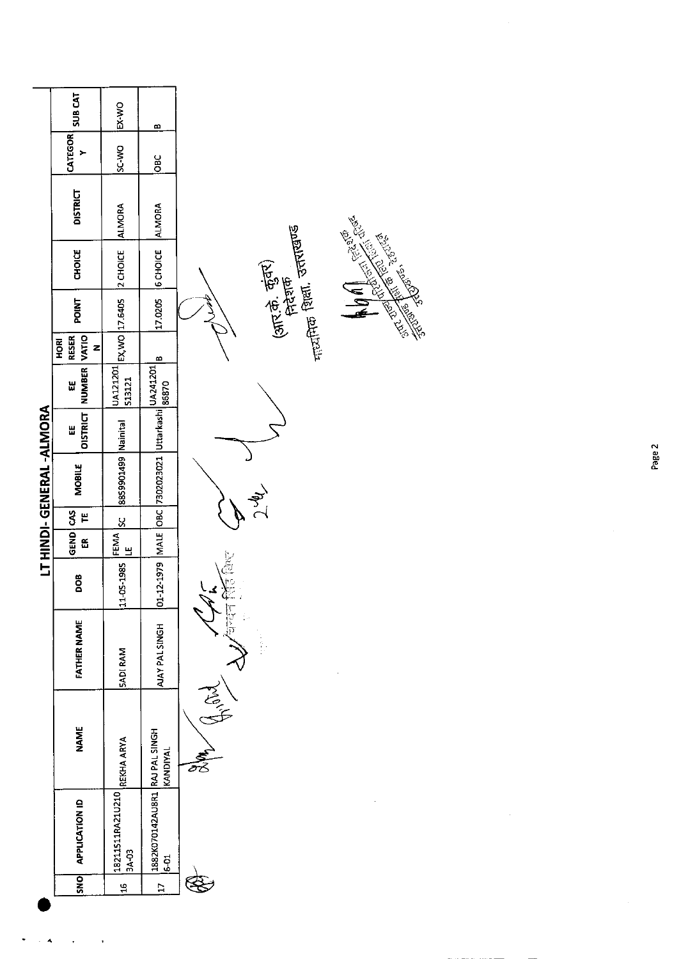|                         | <b>SUB CAT</b>                       | EX-WO                         | B                                                                      |                                                                 |
|-------------------------|--------------------------------------|-------------------------------|------------------------------------------------------------------------|-----------------------------------------------------------------|
|                         | CATEGOR<br>>                         | SC-WO                         | OBC                                                                    |                                                                 |
|                         | <b>DISTRICT</b>                      | <b>ALMORA</b>                 | <b>ALMORA</b>                                                          |                                                                 |
|                         | CHOICE                               | 2 CHOICE                      | <b>6</b> CHOICE                                                        | And Marie Reserve<br><sub>नाट्यी</sub> तक शिला, उत्तराखण्ड<br>- |
|                         | POINT                                | EX, WO 17.6405                | 170205                                                                 | (आर.के. कुंबर)<br>शिरिक                                         |
|                         | VATIO<br><b>RESER</b><br>HORI<br>z   |                               | m                                                                      |                                                                 |
|                         | NUMBER<br>쁪                          | UA121201<br>513121            |                                                                        |                                                                 |
|                         | OISTRICT<br>Ш                        |                               |                                                                        |                                                                 |
| LT HINDI-GENERAL-ALMORA | MOBILE                               | sst9901499 Nainital           | <br> 01-12-1979   MALE   OBC   7302023021   Uttarkashi   868701   <br> |                                                                 |
|                         | Ë                                    | <u>ყ</u>                      |                                                                        |                                                                 |
|                         | GEND CAS<br>$\widetilde{\mathbf{e}}$ | <b>FEMA</b><br>$\overline{=}$ |                                                                        |                                                                 |
|                         | DOB <sub>0</sub>                     | 11-05-1985                    |                                                                        |                                                                 |
|                         | <b>FATHER NAME</b>                   | <b>SADI RAM</b>               | AJAY PAL SINGH                                                         | कदन सि                                                          |
|                         | <b>NAME</b>                          | REKHA ARYA                    | KANDIYAL                                                               | $\widetilde{\widetilde{\mathcal{C}}}$                           |
|                         | APPLICATION ID                       | 18211511RA21U210<br>3A-03     | 1882K070142AU8R1 RAJ PAL SINGH<br>$6 - 51$                             |                                                                 |
|                         | <b>SNO</b>                           | $\frac{16}{11}$               | $\overline{E}$                                                         |                                                                 |
|                         |                                      |                               |                                                                        |                                                                 |

 $\mathbb{Z}^2$ 

 $\ddot{\phantom{0}}$ 

 $\frac{1}{\sqrt{2}}$ 

 $\ddot{\phantom{0}}$ 

Page 2

 $\frac{1}{2}$ 

 $\frac{1}{2}$ 

 $\hat{\mathcal{A}}$ 

 $\mathbb{R}^2$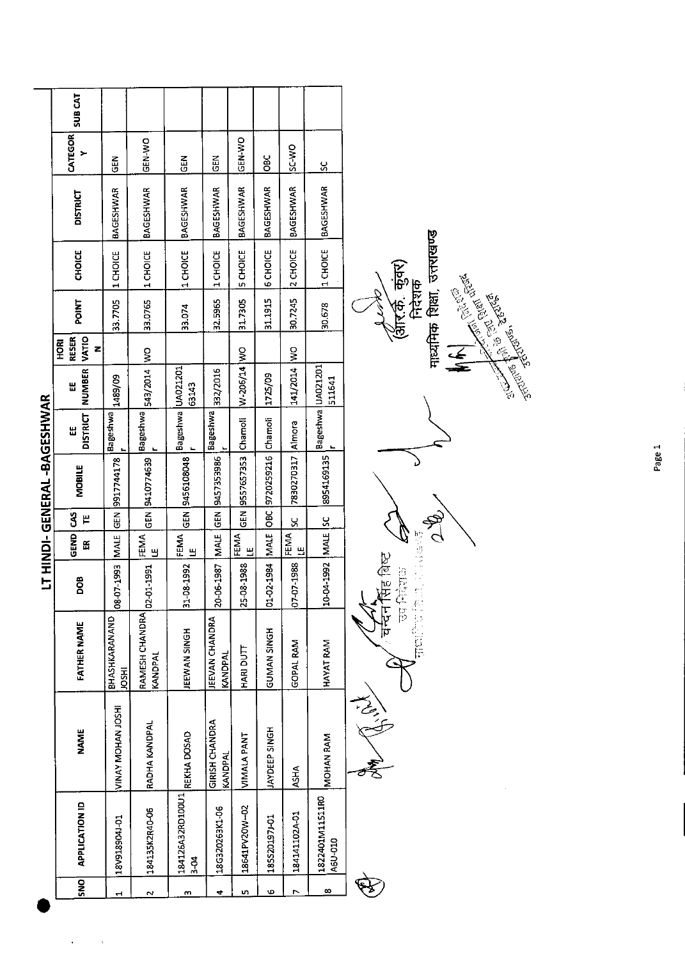|            |                                 |                           |                                 |                        |                  |              | <b>LT HINDI-GENERAL-BAGESHWAR</b> |                      |                   |                                  |         |               |                  |               |                |
|------------|---------------------------------|---------------------------|---------------------------------|------------------------|------------------|--------------|-----------------------------------|----------------------|-------------------|----------------------------------|---------|---------------|------------------|---------------|----------------|
| <b>SNO</b> | <b>APPLICATION ID</b>           | <b>NAME</b>               | <b>FATHER NAME</b>              | DOB                    | <b>GEND</b><br>E | 3<br>٣       | <b>MOBILE</b>                     | <b>DISTRICT</b><br>Ш | NUMBER VATIO<br>띰 | <b>RESER</b><br><b>HORI</b><br>z | POINT   | <b>CHOICE</b> | <b>DISTRICT</b>  | CATEGOR       | <b>SUB CAT</b> |
|            | I0-P06816A81                    | <b>WINAY MOHAN JOSHI</b>  | BHASHKARANAND<br><b>HSOI</b>    | <b>3JAM E661-10-80</b> |                  |              | GEN 9917744178                    | Bageshwa             | 1489/09           |                                  | 33,7705 | 1 CHOICE      | <b>BAGESHWAR</b> | $rac{2}{5}$   |                |
| $\sim$     | 184135K2R40-06                  | RADHA KANDPAL             | RAMESH CHANDRA<br>KANDPAL       | 02-01-1991             | FEMA<br>Ш        |              | GEN   9410774639                  | Bageshwa             | OM   0102/595     |                                  | 33,0765 | 1 CHOICE      | <b>BAGESHWAR</b> | GEN-WO        |                |
| m          | 184126A32RD100U1<br>$rac{1}{2}$ | REKHA DOSAD               | <b>EEWAN SINGH</b>              | 31-08-1992             | FEMA<br>Ш        |              | GEN 3456108048                    | Bageshwa UA021201    | 63143             |                                  | 33.074  | 1 CHOICE      | <b>BAGESHWAR</b> | <b>GEN</b>    |                |
| ₹          | 18G320263K1-06                  | GIRISH CHANDRA<br>KANDPAL | <b>EEVAN CHANDRA</b><br>KANDPAL | 20 06 1987             |                  |              | MALE GEN 9457353986               | Bageshwa             | 332/2016          |                                  | 32.5965 | 1 CHOICE      | <b>BAGESHWAR</b> | 집<br>5        |                |
| m          | 18641PV20W-02                   | VIMALA PANT               | HARI DUTT                       | 25-08-1988             | FEMA<br>Щ        | <b>GEN</b>   | 9557657353 Chamoli                |                      | W-206/14 WO       |                                  | 31.7305 | 5 CHOICE      | <b>BAGESHWAR</b> | <b>ON-NEG</b> |                |
| Φ          | 185S20197J-01                   | <b>JAYDEEP SINGH</b>      | <b>HONIS NAN SINGH</b>          | 01-02-1984             | MALE             | $rac{1}{26}$ | 9720259216 Chamoli                |                      | 1725/09           |                                  | 31.1915 | 6 CHOICE      | BAGESHWAR        | <b>OBC</b>    |                |
| r          | 184141102A-01                   | ASHA                      | <b>GOPAL RAM</b>                | 07-07-1988             | FEMA<br>Щ        | š            | 7830270317                        | Almora               | 141/2014 WO       |                                  | 30.7245 | 2 CHOICE      | <b>BAGESHWAR</b> | <b>OW-3S</b>  |                |
| ∞          | 1822401M11511RO<br>A6U-010      | <b>MOHAN RAM</b>          | HAYAT RAM                       | 10-04-1992 MALE SC     |                  |              | 8954169135                        | Bageshwa UA021201    | 511641            |                                  | 30.678  | 1 CHOICE      | BAGESHWAR        | <u>ي</u>      |                |
|            |                                 | لہے<br>نیم                |                                 | ਬਾਦੀ<br>ਸ਼ਿਲ<br>l      |                  |              |                                   |                      |                   |                                  |         |               |                  |               |                |

 $\frac{1}{2} \sum_{i=1}^{n} \frac{1}{2} \sum_{j=1}^{n} \frac{1}{2} \sum_{j=1}^{n} \frac{1}{2} \sum_{j=1}^{n} \frac{1}{2} \sum_{j=1}^{n} \frac{1}{2} \sum_{j=1}^{n} \frac{1}{2} \sum_{j=1}^{n} \frac{1}{2} \sum_{j=1}^{n} \frac{1}{2} \sum_{j=1}^{n} \frac{1}{2} \sum_{j=1}^{n} \frac{1}{2} \sum_{j=1}^{n} \frac{1}{2} \sum_{j=1}^{n} \frac{1}{2} \sum_{j=1}^{n$  $\ddot{\phantom{0}}$ 

 $\overline{\phantom{a}}$ 



 $\mathbb{R}^2$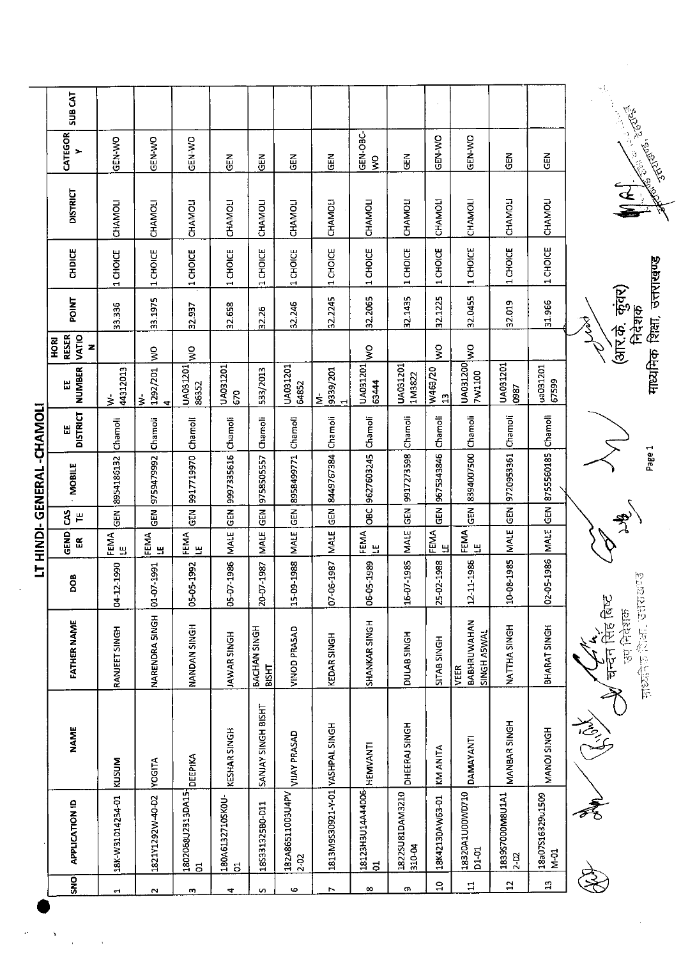|                            | <b>SUBCAT</b>                |                          |                                |                                    |                                  |                       |                              |                                 |                           |                           |                         |                                    |                             |                          | r i,                                                                                                                                  |
|----------------------------|------------------------------|--------------------------|--------------------------------|------------------------------------|----------------------------------|-----------------------|------------------------------|---------------------------------|---------------------------|---------------------------|-------------------------|------------------------------------|-----------------------------|--------------------------|---------------------------------------------------------------------------------------------------------------------------------------|
|                            | CATEGOR<br>>                 | GEN-WO                   | GEN-WO                         | GEN-WO                             | こ<br>19                          | ĞΘ                    | M<br>GEI                     | $\frac{2}{9}$                   | GEN-OBC-<br>$\frac{1}{2}$ | $\tilde{e}$               | <b>GEN-WO</b>           | <b>GEN WO</b>                      | 군<br>영                      | 띥                        | <b>- Tanas</b> 2016<br>Contract Contract Contract Contract Contract Contract Contract Contract Contract Contract Contract Contract Co |
|                            | <b>DISTRICT</b>              | CHAMOLI                  | CHAMOLI                        | CHAMOLI                            | CHAMOLI                          | CHAMOLI               | CHAMOLI                      | CHAMOLI                         | CHAMOLI                   | CHAMOLI                   | <b>CHAMOLI</b>          | CHAMOLI                            | CHAMOLI                     | <b>CHAMOLI</b>           |                                                                                                                                       |
|                            | CHDICE                       | CHOICE<br>H              | 1 CHOICE                       | CHOICE<br>τH,                      | 1 CHOICE                         | CHOICE<br>τH,         | 1 CHOICE                     | 1 CHOICE                        | 1 CHOICE                  | 1 CHOICE                  | 1 CHOICE                | 1 CHOICE                           | 1 CHOICE                    | CHOICE<br>$\blacksquare$ |                                                                                                                                       |
|                            | <b>POINT</b>                 | 3.336                    | 33.1975                        | 32.937                             | 32.658                           | 32.26                 | 32.246                       | 32.2245                         | 32.2065                   | 32.1435                   | 32.1225                 | 32.0455                            | 32.019                      | 31.966                   | माध्यमिक शिक्षा, उत्तराखण्ड<br>(आर.के कुवर)<br>निदेशक<br>R<br>S                                                                       |
|                            | RESER<br>VATIO<br>HORI<br>z  |                          | $\frac{1}{2}$                  | $\frac{8}{5}$                      |                                  |                       |                              |                                 | ş                         |                           | Š                       | $\frac{1}{2}$                      |                             |                          |                                                                                                                                       |
|                            | <b>NUMBER</b><br>쁪           | 44312013<br>$\dot{\geq}$ | 1292/201<br>$\frac{1}{5}$<br>4 | UA031201<br>86352                  | UA031201<br>670                  | 533/2013              | UA031201<br><b>G4852</b>     | 9339/201<br>έ                   | UA031201<br>63444         | UA031201<br>1M3822        | W463/20<br>$\mathbf{r}$ | UA031200<br>7W1100                 | UA031201<br>0987            | ua031201<br>67599        |                                                                                                                                       |
|                            | <b>DISTRICT</b><br>뜺         | Chamoli                  | Chamoli                        | Chamoli                            | Chamoli                          | Chamoli               | Chamoli                      | Chamoli                         | Chamoli                   | Chamoli                   | Chamoli                 | Chamoli                            | Chamoli                     | Chamoli                  |                                                                                                                                       |
| LT HINDI- GENERAL -CHANOLI | <b>MOBILE</b>                | 8954186132               | 9759479992                     | 9917719970                         | 9997335616                       | 9758505557            | 8958499771                   | 8449767384                      | 9627603245                | 9917273598                | 9675343846              | 8394007500                         | 9720953361                  | 8755560185               | Page 1                                                                                                                                |
|                            | Ś<br>$\mathop{\text{H}}$     | $\frac{2}{5}$            | る<br>GU                        | $\tilde{\vec{e}}$                  | $rac{1}{6}$                      | $\frac{2}{9}$         | <b>GEN</b>                   | $\frac{2}{9}$                   | OBC                       | GEN                       | $\frac{2}{9}$           | る<br>GEO                           | GEN                         | GEN                      |                                                                                                                                       |
|                            | GEND<br>$\tilde{\mathbf{r}}$ | <b>FEMA</b><br>LEMA      | FEMA<br>۳                      | FEMA<br>٣                          | <b>MALE</b>                      | <b>MALE</b>           | MALE                         | <b>MALE</b>                     | FEMA<br>꾚                 | MALE                      | <b>FEMA</b><br>LE       | <b>FEMA</b><br>LE                  | MALE                        | MALE                     |                                                                                                                                       |
|                            | BOO                          | 04-12-1990               | 01-07-1991                     | 05-05-1992                         | 05-07-1986                       | 20-07-1987            | 09-1988<br>ģ                 | 07-06-1987                      | 06-05-1989                | 16-07-1985                | 25-02-1988              | 12-11-1986                         | 10-08-1985                  | 02-05-1986               | ly<br><u>Ter</u>                                                                                                                      |
|                            | <b>FATHER NAME</b>           | RANJEET SINGH            | NARENDRA SINGH                 | NANDAN SINGH                       | JAWAR SINGH                      | BACHAN SINGH<br>BISHT | VINOD PRASAD                 | <b>KEDAR SINGH</b>              | SHANKAR SINGH             | DULAB SINGH               | SITAB SINGH             | BABHRUWAHAN<br>SINGH ASWAL<br>VEER | NATTHA SINGH                | BHARAT SINGH             | pomphip for partie<br>उप निदेशा<br>.<br>ho<br>仨                                                                                       |
|                            | <b>NAME</b>                  | KUSUM                    | <b>YOGITA</b>                  | <b>DEEPIKA</b>                     | KESHAR SINGH                     | SANJAY SINGH BISHT    | <b>VIJAY PRASAD</b>          |                                 | <b>HEMVANTI</b>           | DHEERAJ SINGH             | <b>KM ANITA</b>         | DAMAYANTI                          | MANBAR SINGH                | MANOJ SINGH              |                                                                                                                                       |
|                            | <b>APPLICATION ID</b>        | 18K-W31014234-01         | 1821Y1292W-40-D2               | 1802068U2313DA15<br>$\overline{5}$ | 180A6132710SKOU-<br>$\mathbf{5}$ | 18S331325B0-011       | 182A86511003U4PV<br>$2 - 02$ | 1813M9S30921-Y-01 YASHPAL SINGH | 18123H3U14A44006<br>ដ     | 1822SU81DAM3210<br>310-04 | 18K42130AW63-01         | 18320A1U00WD710<br>D1-01           | 1839S7000M8U1A1<br>$2 - 52$ | 18a07S16329u1509<br>N-01 |                                                                                                                                       |
|                            | SNO                          | τ,                       | $\sim$                         | m                                  | $\overline{\mathbf{r}}$          | $\mathbf{v}$          | Φ                            | r                               | ∞                         | m                         | $\Xi$                   | $\Xi$                              | $\mathbf{5}$                | $\mathbf{r}$             |                                                                                                                                       |

 $\sim$ 

 $\frac{1}{\sqrt{2}}$  $\label{eq:1} \frac{1}{2} \sum_{i=1}^n \frac{1}{2} \sum_{j=1}^n \frac{1}{2} \sum_{j=1}^n \frac{1}{2} \sum_{j=1}^n \frac{1}{2} \sum_{j=1}^n \frac{1}{2} \sum_{j=1}^n \frac{1}{2} \sum_{j=1}^n \frac{1}{2} \sum_{j=1}^n \frac{1}{2} \sum_{j=1}^n \frac{1}{2} \sum_{j=1}^n \frac{1}{2} \sum_{j=1}^n \frac{1}{2} \sum_{j=1}^n \frac{1}{2} \sum_{j=1}^n \frac{1}{$ 

 $\frac{1}{2}$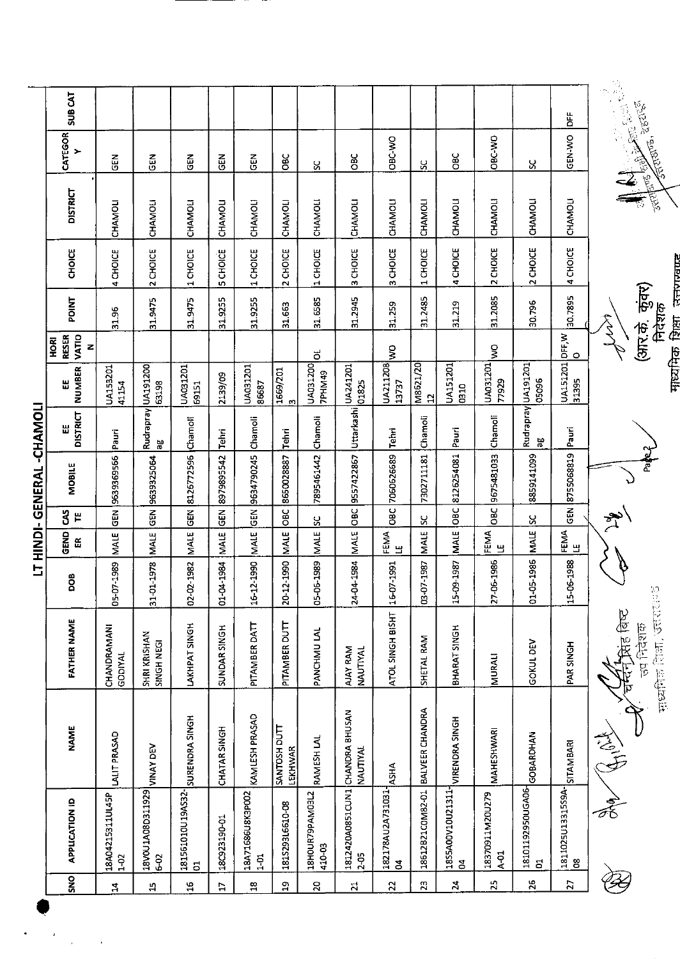|                                                                         |                 |                                                           |            |                              |               | LT HINDI-GENERAL -CHAMOLI |                          |                           |                                    |                          |                         |                 |                                                                      |                    |
|-------------------------------------------------------------------------|-----------------|-----------------------------------------------------------|------------|------------------------------|---------------|---------------------------|--------------------------|---------------------------|------------------------------------|--------------------------|-------------------------|-----------------|----------------------------------------------------------------------|--------------------|
| <b>APPLICATION ID</b>                                                   | <b>NAME</b>     | <b>FATHER NAME</b>                                        | DOB        | GEND<br>$\frac{\alpha}{\mu}$ | ვ<br>٣        | MOBILE                    | <b>DISTRICT</b>          | NUMBER<br>Ш               | VATIO<br><b>RESER</b><br>HORI<br>z | <b>POINT</b>             | CHOICE                  | <b>DISTRICT</b> | CATEGOR<br>>                                                         | SUB <sub>CAT</sub> |
| LALIT PRASAD<br>18A04215311UL45P<br>$1-02$                              |                 | CHANDRAMANI<br>GODIYAL                                    | 05-07-1989 | <b>MALE</b>                  | <b>GEN</b>    | 9639369566                | Pauri                    | UA153201<br>41154         |                                    | 31.96                    | 4 CHOICE                | CHAMOLI         | GEN                                                                  |                    |
| <b>VINAY DEV</b><br>18V0U1A08D311929<br>6-02                            |                 | SHRI KRISHAN<br>SINGH NEGI                                | 31-01-1978 | MALE                         | $\frac{2}{9}$ | 9639325064                | Rudrapray UA191200<br>ΡÖ | 63198                     |                                    | 31.9475                  | 2 CHOICE                | CHAMOLI         | ភូមិ<br>ប                                                            |                    |
| SURENDRA SINGH<br>181561010U19AS32-<br>$\overline{5}$                   |                 | LAKHPAT SINGH                                             | 02-02-1982 | MALE                         | <b>GEN</b>    | 8126772596                | Chamoli                  | UA031201<br>69151         |                                    | 31.9475                  | 1 CHOICE                | <b>CHAMOLI</b>  | 준<br>이                                                               |                    |
| CHATAR SINGH<br>18C923190-01                                            |                 | SUNDAR SINGH                                              | 01-04-1984 | <b>MALE</b>                  | <b>GEN</b>    | 8979895542                | Tehri                    | 2139/09                   |                                    | 31.9255                  | <b>5 CHOICE</b>         | CHAMOU          | 즍                                                                    |                    |
| KAMLESH PRASAD<br>18A71686U8K3P002<br>$\frac{5}{1}$                     |                 | PITAMBER DATT                                             | 16-12-1990 | <b>MALE</b>                  | GEN           | 9634790245                | Chamoli                  | UA031201<br>86687         |                                    | 31.9255                  | 1 CHOICE                | CHAMOLI         | $\tilde{5}$                                                          |                    |
| SANTOSH DUTT<br><b>LEKHWAR</b><br>181529316610-08                       |                 | PITAMBER DUTT                                             | 20-12-1990 | <b>MALE</b>                  | OBC           | 8650028837                | Tehri                    | $\frac{1669/201}{3}$      |                                    | 31.663                   | 2 CHOICE                | CHAMOLI         | ăo                                                                   |                    |
| RAMESH LAL<br>18HOUR79PAM03L2<br>410-03                                 |                 | PANCHMU LAL                                               | 05-06-1989 | <b>MALE</b>                  | X             | 7895461442                | Chamoli                  | UA031200<br><b>7PHM49</b> | ಕ                                  | 31.6585                  | 1 CHOICE                | CHAMOLI         | χ                                                                    |                    |
| 1812420A0851CUN1 CHANDRA BHUSAN<br>NAUTIYAL<br>$2-05$                   |                 | AJAY RAM<br>NAUTIYAL                                      | 24-04-1984 | <b>MALE</b>                  | OBC           | 9557422867                | Uttarkashi               | UA241201<br>01825         |                                    | 31.2945                  | 3 CHOICE                | CHAMOLI         | <b>OBC</b>                                                           |                    |
| <b>ASHA</b><br>182178AU2A731031<br>$\mathbf{z}$                         |                 | ATOL SINGH BISHT                                          | 16-07-1991 | <b>FEMA</b><br>LE H          | OBC           | 7060626689                | Tehri                    | UA211208<br>13737         | ş                                  | 31.259                   | 3 CHOICE                | CHAMOLI         | OBC-WO                                                               |                    |
| 18612B21COM82-01                                                        | BALVEER CHANDRA | SHETAL RAM                                                | 03-07-1987 | <b>MALE</b>                  | S.            | 7302711181                | Chamoli                  | M8621/20<br>12            |                                    | 31.2485                  | 1 CHOICE                | CHAMOLI         | S,                                                                   |                    |
| $\begin{array}{c} \texttt{lassA00V10U21311} \\ \texttt{04} \end{array}$ | VIRENDRA SINGH  | BHARAT SINGH                                              | 15-09-1987 | MALE                         | <b>OBC</b>    | 8126254081                | Pauri                    | UA151201<br>0310          |                                    | 31.219                   | 4 CHOICE                | CHAMOLI         | <b>OBC</b>                                                           |                    |
| MAHESHWARI<br>18370911M20U279<br>$A-01$                                 |                 | <b>MURALI</b>                                             | 27-06-1986 | <b>FEMA</b><br>LE            | OBC           | 9675481033                | Chamoli                  | UA031201<br>77929         | ş                                  | 31.2085                  | <b>CHOICE</b><br>$\sim$ | <b>CHAMOLI</b>  | <b>OBC-WO</b>                                                        |                    |
| GOBARDHAN<br>18101192950UGA06-<br>$\overline{5}$                        |                 | <b>GOKUL DEV</b>                                          | 01-05-1986 | <b>MALE</b>                  | SC            | 8859141099                | Rudrapray UA191201<br>ಇ  | 05096                     |                                    | 30.796                   | 2 CHOICE                | CHAMOLI         | X                                                                    |                    |
| SITAMBARI<br>1811025U13315S9A-<br>8                                     |                 | PAR SINGH                                                 | 15-06-1988 | FEMA<br>쁰                    |               | GEN 8755068819            | Pauri                    | UA151201 DFF, W<br>31395  | ۰                                  | 30.7895                  | 4 CHOICE                | CHAMOLI         | GEN-WO                                                               | Ä                  |
|                                                                         |                 | <b>FERENCE CONTROLLED</b><br><b>THE FARE</b><br>लय निदेशक |            |                              |               | č                         |                          |                           | wyl                                | (आर.के. कुंवर)<br>निदेशक |                         |                 | And Supplied Straits of the Second Straits<br><b>Andrea</b> , agarea | P                  |
|                                                                         |                 |                                                           |            |                              |               |                           |                          |                           |                                    | माध्यमिक भिर्षा व्यक्ता  |                         |                 |                                                                      |                    |

 $\ddot{\phantom{0}}$ 

 $\frac{1}{2}$ 

,

 $\ddot{\phantom{0}}$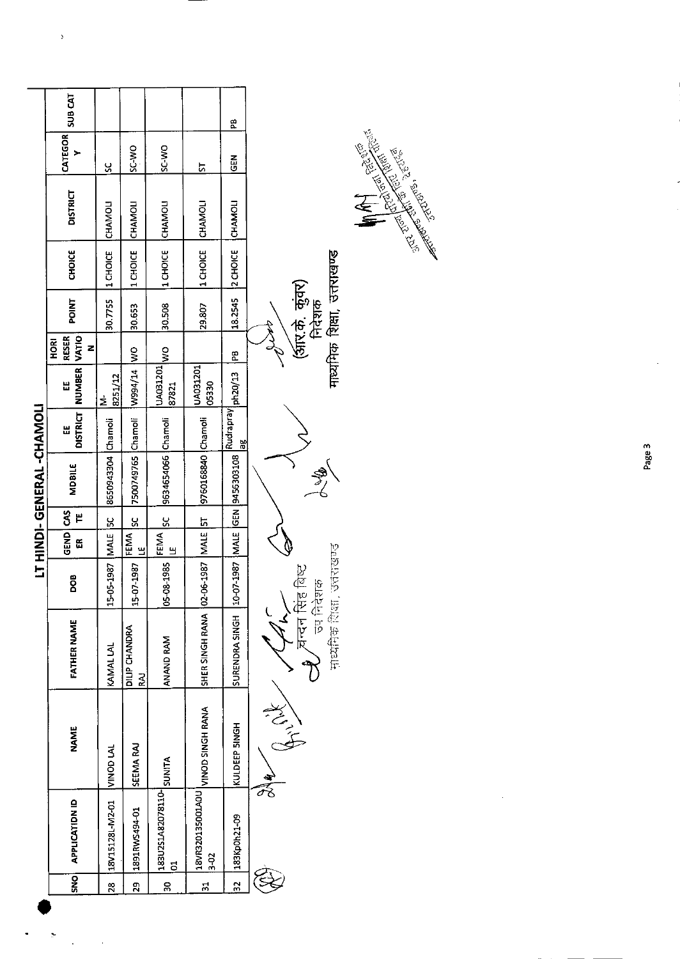|                          | SUB <sub>CAT</sub>        |                    |                            |                                      |                                          | æ                                |                            |                             |
|--------------------------|---------------------------|--------------------|----------------------------|--------------------------------------|------------------------------------------|----------------------------------|----------------------------|-----------------------------|
|                          | CATEGOR                   | ပ္တ                | SC-V <sub>O</sub>          | SC-VIO                               | 52                                       | <b>GEN</b>                       |                            |                             |
|                          | <b>DISTRICT</b>           | CHAMOLI            | CHAMOLI                    | <b>ICHAMOLI</b>                      | CHAMOLI                                  | CHAMOLI                          |                            |                             |
|                          | <b>CHOICE</b>             | 11 CHOICE          | 1 CHOICE                   | 1 CHOICE                             | 1 CHOICE                                 | 2 CHOICE                         |                            |                             |
|                          | <b>POINT</b>              | 30.7755            | 30.653                     | 30.508                               | 29.807                                   | 182545                           | (अंरि.के. कुंवर)<br>निदेशक | माध्यमिक शिक्षा, उत्तराखण्ड |
|                          | <b>RESER</b><br>HORI<br>z |                    |                            |                                      |                                          | Bd.                              |                            |                             |
|                          | NUMBER VATIO<br>Ш         | 8251/12<br>έ       | W 41/14                    | OM DOZTEDYI<br>87821                 | UA031201<br>05330                        | ph20/13                          |                            |                             |
|                          | DISTRICT<br>Ш             |                    |                            |                                      |                                          | Rudrapray<br>$rac{80}{6}$        |                            |                             |
| LT HINDI-GENERAL-CHANOLI | <b>MDBILE</b>             | 8650943304 Chamoli | 7500749765 Chamoli         | 9634654066 Chamoli                   | 9760168840 Chamoli                       | 10-07-1987   MALE GEN 9456303108 |                            |                             |
|                          | š<br>٣                    | $\frac{8}{2}$      | $\frac{8}{2}$              |                                      |                                          |                                  |                            |                             |
|                          | GEND<br>ã                 |                    | FEMA<br>ب<br>س             | Ч                                    |                                          |                                  |                            |                             |
|                          | BOG                       | 15-05-1987 MALE    | 15-07-1987                 | 05-08-1985 FEMA SC                   |                                          |                                  | ंबिस्ट<br>उप निदेशक        | <b>Proprietive</b>          |
|                          | <b>FATHER NAME</b>        | KAMAL LAL          | DILIP CHANDRA<br>$\vec{z}$ | ANAND RAM                            | SHER SINGH RANA   02-06-1987   MALE   5T | SURENDRA SINGH                   | <b>CALLET</b><br>REFERENCE | 中以作寺 (時間)                   |
|                          | <b>NAME</b>               | <b>NINOD LAL</b>   | SEEMA RAJ                  |                                      | <b>VINOD SINGH RANA</b>                  | KULDEEP SINGH                    | Right<br>$\frac{4}{5}$     |                             |
|                          | <b>APPLICATION ID</b>     | 18V15128L-M2-01    | 1891RWS494-01              | ATIMUS POLISTORALIZOUSEL<br><u>ដ</u> | 18VR320135001A0U<br>$3 - 02$             | 183Kp0h21-09                     |                            |                             |
|                          | SNO                       | $\frac{28}{2}$     | $\frac{29}{2}$             | $\frac{8}{20}$                       | $\frac{1}{2}$                            | $\frac{2}{3}$                    |                            |                             |
|                          |                           |                    |                            |                                      |                                          |                                  |                            |                             |

 $\boldsymbol{\beta}$ 

 $\ddot{\phantom{1}}$ 

 $\ddot{\phantom{0}}$ 

 $\label{eq:2.1} \frac{1}{2} \int_{\mathbb{R}^3} \frac{1}{\sqrt{2}} \, \frac{1}{\sqrt{2}} \, \frac{1}{\sqrt{2}} \, \frac{1}{\sqrt{2}} \, \frac{1}{\sqrt{2}} \, \frac{1}{\sqrt{2}} \, \frac{1}{\sqrt{2}} \, \frac{1}{\sqrt{2}} \, \frac{1}{\sqrt{2}} \, \frac{1}{\sqrt{2}} \, \frac{1}{\sqrt{2}} \, \frac{1}{\sqrt{2}} \, \frac{1}{\sqrt{2}} \, \frac{1}{\sqrt{2}} \, \frac{1}{\sqrt{2}} \, \frac{1}{\sqrt{2}} \,$ 

**CONTROLLER STATES REPAIRING STATES REPAIRING STATES STATES STATES STATES STATES STATES STATES STATES STATES S** 

.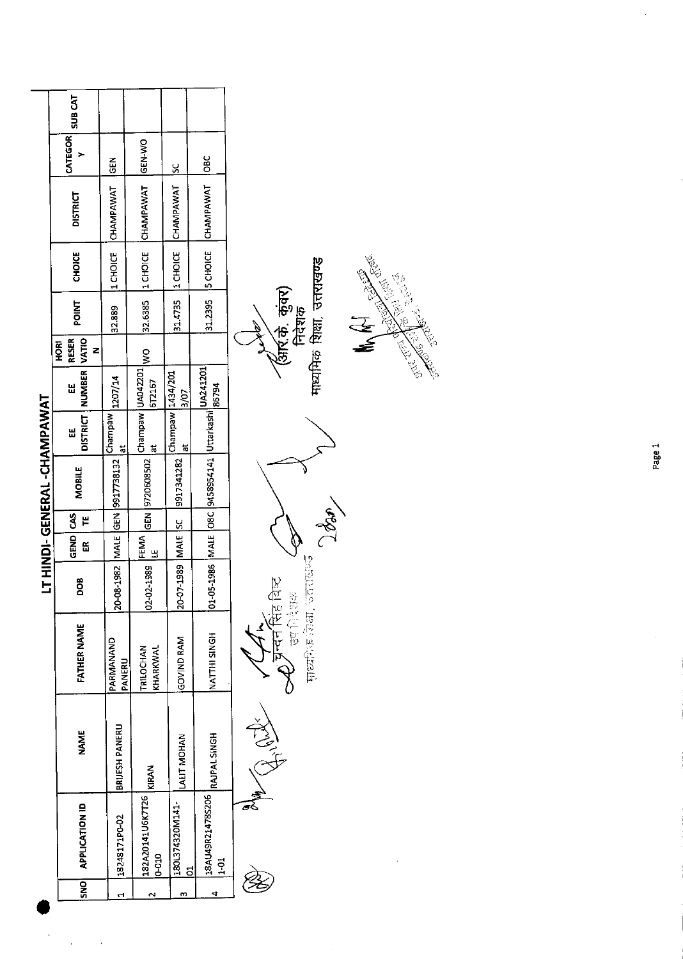|                                   | <b>SUB CAT</b>                  |                                    |                                     |                                   |                                                             |         |
|-----------------------------------|---------------------------------|------------------------------------|-------------------------------------|-----------------------------------|-------------------------------------------------------------|---------|
|                                   | <b>CATEGOR</b>                  | <b>IGEN</b>                        | <b>GEN-WO</b>                       |                                   | $rac{c}{\sqrt{c}}$                                          |         |
|                                   | <b>DISTRICT</b>                 | 32.889 [1 CHOICE CHAMPAWAT         | <b>CHAMPAWAT</b>                    | 31.4735  1 CHOICE  CHAMPAWAT  SC  | CHAMPAWAT                                                   |         |
|                                   | <b>CHOICE</b>                   |                                    | 32.6385 1 CHOICE                    |                                   | 31.2395 5 CHOICE                                            |         |
|                                   | POINT                           |                                    |                                     |                                   |                                                             |         |
|                                   | <b>RESER</b><br><b>ROK</b><br>z |                                    |                                     |                                   |                                                             | $\zeta$ |
|                                   | NUMBER VATIO<br>Ш               | 1207/14                            | 1612167                             | 3/07                              |                                                             |         |
|                                   | <b>DISTRICT</b><br>띮            | Champaw<br>$\vec{a}$               | Champaw UA042201 WO<br>ă            | Champaw  1434/201<br>ă            |                                                             |         |
| <b>LT HINDI-GENERAL-CHAMPAWAT</b> | <b>MOBILE</b>                   | 20-08-1982   MALE GEN   9917738132 | GEN 9720608502                      | 20-07-1989   MALE SC   9917341282 | 102-05-1986   MALE   O8C   9458954141   Uttarkashi   186794 |         |
|                                   | GEND CAS<br>٣                   |                                    |                                     |                                   |                                                             |         |
|                                   | ã                               |                                    | FEMA                                |                                   |                                                             |         |
|                                   | DOB<br>D                        |                                    | 02-02-1989                          |                                   |                                                             |         |
|                                   | FATHER NAME                     | PARMANAND<br>PANERU                | <b>TRILOCHAN</b><br>KHARKWAI        | GOVIND RAM                        | NATTHI SINGH                                                |         |
|                                   | <b>NAME</b>                     | BRIJESH PANERU                     | KIRAN                               | <b>LALIT MOHAN</b>                | RAJPAL SINGH                                                |         |
|                                   | SNO APPLICATION ID              | 18248171PO-02                      | 182A20141U6K7T26<br>$\frac{10}{10}$ | 180L374320M141-                   | 18AU49R21478S206<br>្នុ                                     |         |
|                                   |                                 |                                    |                                     |                                   |                                                             |         |

 $\ddot{\phantom{0}}$ 

 $\ddot{\phantom{0}}$ 

AVE CONTROLLED **RAN** 

B

**>८**८ उस शिक्षक - (क्रू<br>माध्यप्रिक विका, उत्तराधन

**Comes** 

*(आर.के. कुंवर)*<br>निदेशक<br>माध्यमिक शिक्षा, उत्तराखण्ड

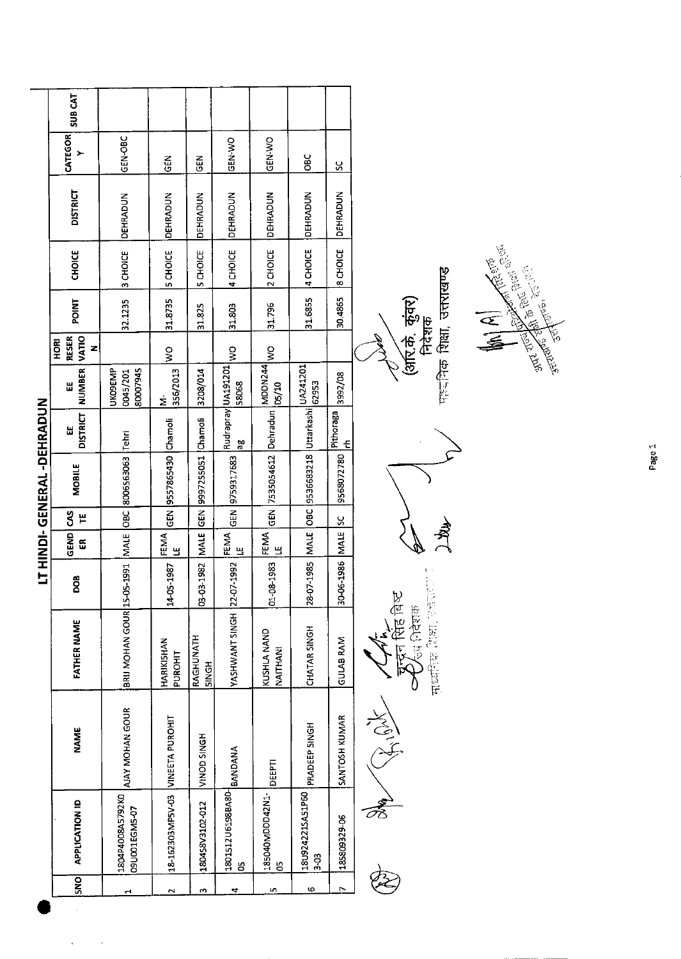| SUB <sub>CAT</sub><br>CATEGOR<br>GEN-OBC<br>GEN-WO<br>GEN-WO<br>≻<br><b>OBC</b><br><b>GEN</b><br>$rac{2}{5}$<br>S.<br><b>DISTRICT</b><br>DEHRADUN<br><b>DEHRADUN</b><br>DEHRADUN<br>DEHRADUN<br>DEHRADUN<br>DEHRADUN<br>DEHRADUN<br>4 CHOICE<br><b>SCHOICE</b><br>2 CHOICE<br>4 CHOICE<br><b>CHOICE</b><br>5 CHOICE<br>5 CHOICE<br>3 CHOICE<br>पहर निक शिक्षा, उत्तराखण्ड<br>31.6855<br>30.4865<br>(अरि.के. कुंवर)<br><b>POINT</b><br>32.1235<br>31.8735<br>31.796<br>31.825<br>31.803<br>निदेशक<br>VATIO<br><b>RESER</b><br>HORI<br>z<br>$\frac{1}{2}$<br>$\frac{1}{2}$<br>$\frac{1}{2}$<br>Rudrapray UA191201<br>MDDN244<br>Uttarkashi L <sup>UA241201</sup><br><b>NUMBER</b><br>80007945<br><b>UKOSEMP</b><br>356/2013<br>3208/014<br>0045/201<br>3992/08<br>62953<br>58068<br>D5/10<br>Ш<br>LT HINDI-GENERAL-DEHRADUN<br>Dehradun<br>Pithoraga<br><b>DISTRICT</b><br>Chamoli<br>GEN 3557865430 Chamoli<br>Ш<br>Tehri<br>$\frac{10}{2}$<br>$\frac{1}{2}$<br>9536683218<br>9997255051<br>GEN 7535054612<br>8006563063<br>9568072780<br>GEN 9759317683<br><b>MOBILE</b><br>$\overline{5}$<br>$rac{1}{65}$<br>$\overline{56}$<br>g<br>H<br><u>ყ</u><br>MALE<br><b>MALE</b><br>GEND<br><b>FEMA</b><br>FEMA<br><b>NALE</b><br><b>NALE</b><br><b>FEMA</b><br>$\tilde{\mathbf{g}}$<br>В<br>$\mathbf{\underline{u}}$<br>$\mathbf{u}$<br>30-06-1986<br>28-07-1985<br>BRIJ MOHAN GOUR 15-05-1991<br>YASHWANT SINGH 22-07-1992<br>01-08-1983<br>03-03-1982<br>14-05-1987<br><b>BOO</b><br>माध्यक्ति (राक्षा एक्स्<br>रिहा बिर<br>उप निदेशक<br><b>FATHER NAME</b><br>CHATAR SINGH<br>KUSHLA NAND<br>RAGHUNATH<br><b>GULAB RAM</b><br>HARIKISHAN<br>$\overline{\Gamma}$<br>NAITHANI<br><b>PUROHIT</b><br><b>SINGH</b><br>AJAY MOHAN GOUR<br>VINEETA PUROHIT<br>SANTOSH KUMAR<br>$\begin{pmatrix} 2 \\ 3 \\ 1 \end{pmatrix}$<br>PRADEEP SINGH<br><b>NAME</b><br>VINOD SINGH<br>ANDANG   GRASGESOLIST.DST.<br>DEEPTI<br>18-162303MP5V-03<br>185040MDDD42N1-<br>18U924221SA51P50<br>1804P4008A5792K0<br>APPLICATION ID<br>180458V3102-012<br>09U001EGM5-07<br>185809329-06<br>$3-03$<br>$\mathbf{S}$<br>g<br>SNO<br>$\triangleright$<br>φ<br>m<br>4.<br>in,<br>$\sim$<br>$\blacksquare$ |  |  |  |  |  |  |
|----------------------------------------------------------------------------------------------------------------------------------------------------------------------------------------------------------------------------------------------------------------------------------------------------------------------------------------------------------------------------------------------------------------------------------------------------------------------------------------------------------------------------------------------------------------------------------------------------------------------------------------------------------------------------------------------------------------------------------------------------------------------------------------------------------------------------------------------------------------------------------------------------------------------------------------------------------------------------------------------------------------------------------------------------------------------------------------------------------------------------------------------------------------------------------------------------------------------------------------------------------------------------------------------------------------------------------------------------------------------------------------------------------------------------------------------------------------------------------------------------------------------------------------------------------------------------------------------------------------------------------------------------------------------------------------------------------------------------------------------------------------------------------------------------------------------------------------------------------------------------------------------------------------------------------------------------------------------------------------------------------------------------------------------------------------------------------------------------------------------------------------------------------------------------|--|--|--|--|--|--|
|                                                                                                                                                                                                                                                                                                                                                                                                                                                                                                                                                                                                                                                                                                                                                                                                                                                                                                                                                                                                                                                                                                                                                                                                                                                                                                                                                                                                                                                                                                                                                                                                                                                                                                                                                                                                                                                                                                                                                                                                                                                                                                                                                                            |  |  |  |  |  |  |
|                                                                                                                                                                                                                                                                                                                                                                                                                                                                                                                                                                                                                                                                                                                                                                                                                                                                                                                                                                                                                                                                                                                                                                                                                                                                                                                                                                                                                                                                                                                                                                                                                                                                                                                                                                                                                                                                                                                                                                                                                                                                                                                                                                            |  |  |  |  |  |  |
|                                                                                                                                                                                                                                                                                                                                                                                                                                                                                                                                                                                                                                                                                                                                                                                                                                                                                                                                                                                                                                                                                                                                                                                                                                                                                                                                                                                                                                                                                                                                                                                                                                                                                                                                                                                                                                                                                                                                                                                                                                                                                                                                                                            |  |  |  |  |  |  |
|                                                                                                                                                                                                                                                                                                                                                                                                                                                                                                                                                                                                                                                                                                                                                                                                                                                                                                                                                                                                                                                                                                                                                                                                                                                                                                                                                                                                                                                                                                                                                                                                                                                                                                                                                                                                                                                                                                                                                                                                                                                                                                                                                                            |  |  |  |  |  |  |
|                                                                                                                                                                                                                                                                                                                                                                                                                                                                                                                                                                                                                                                                                                                                                                                                                                                                                                                                                                                                                                                                                                                                                                                                                                                                                                                                                                                                                                                                                                                                                                                                                                                                                                                                                                                                                                                                                                                                                                                                                                                                                                                                                                            |  |  |  |  |  |  |
|                                                                                                                                                                                                                                                                                                                                                                                                                                                                                                                                                                                                                                                                                                                                                                                                                                                                                                                                                                                                                                                                                                                                                                                                                                                                                                                                                                                                                                                                                                                                                                                                                                                                                                                                                                                                                                                                                                                                                                                                                                                                                                                                                                            |  |  |  |  |  |  |
|                                                                                                                                                                                                                                                                                                                                                                                                                                                                                                                                                                                                                                                                                                                                                                                                                                                                                                                                                                                                                                                                                                                                                                                                                                                                                                                                                                                                                                                                                                                                                                                                                                                                                                                                                                                                                                                                                                                                                                                                                                                                                                                                                                            |  |  |  |  |  |  |
|                                                                                                                                                                                                                                                                                                                                                                                                                                                                                                                                                                                                                                                                                                                                                                                                                                                                                                                                                                                                                                                                                                                                                                                                                                                                                                                                                                                                                                                                                                                                                                                                                                                                                                                                                                                                                                                                                                                                                                                                                                                                                                                                                                            |  |  |  |  |  |  |
|                                                                                                                                                                                                                                                                                                                                                                                                                                                                                                                                                                                                                                                                                                                                                                                                                                                                                                                                                                                                                                                                                                                                                                                                                                                                                                                                                                                                                                                                                                                                                                                                                                                                                                                                                                                                                                                                                                                                                                                                                                                                                                                                                                            |  |  |  |  |  |  |
|                                                                                                                                                                                                                                                                                                                                                                                                                                                                                                                                                                                                                                                                                                                                                                                                                                                                                                                                                                                                                                                                                                                                                                                                                                                                                                                                                                                                                                                                                                                                                                                                                                                                                                                                                                                                                                                                                                                                                                                                                                                                                                                                                                            |  |  |  |  |  |  |
|                                                                                                                                                                                                                                                                                                                                                                                                                                                                                                                                                                                                                                                                                                                                                                                                                                                                                                                                                                                                                                                                                                                                                                                                                                                                                                                                                                                                                                                                                                                                                                                                                                                                                                                                                                                                                                                                                                                                                                                                                                                                                                                                                                            |  |  |  |  |  |  |
|                                                                                                                                                                                                                                                                                                                                                                                                                                                                                                                                                                                                                                                                                                                                                                                                                                                                                                                                                                                                                                                                                                                                                                                                                                                                                                                                                                                                                                                                                                                                                                                                                                                                                                                                                                                                                                                                                                                                                                                                                                                                                                                                                                            |  |  |  |  |  |  |
|                                                                                                                                                                                                                                                                                                                                                                                                                                                                                                                                                                                                                                                                                                                                                                                                                                                                                                                                                                                                                                                                                                                                                                                                                                                                                                                                                                                                                                                                                                                                                                                                                                                                                                                                                                                                                                                                                                                                                                                                                                                                                                                                                                            |  |  |  |  |  |  |
|                                                                                                                                                                                                                                                                                                                                                                                                                                                                                                                                                                                                                                                                                                                                                                                                                                                                                                                                                                                                                                                                                                                                                                                                                                                                                                                                                                                                                                                                                                                                                                                                                                                                                                                                                                                                                                                                                                                                                                                                                                                                                                                                                                            |  |  |  |  |  |  |
|                                                                                                                                                                                                                                                                                                                                                                                                                                                                                                                                                                                                                                                                                                                                                                                                                                                                                                                                                                                                                                                                                                                                                                                                                                                                                                                                                                                                                                                                                                                                                                                                                                                                                                                                                                                                                                                                                                                                                                                                                                                                                                                                                                            |  |  |  |  |  |  |
|                                                                                                                                                                                                                                                                                                                                                                                                                                                                                                                                                                                                                                                                                                                                                                                                                                                                                                                                                                                                                                                                                                                                                                                                                                                                                                                                                                                                                                                                                                                                                                                                                                                                                                                                                                                                                                                                                                                                                                                                                                                                                                                                                                            |  |  |  |  |  |  |
|                                                                                                                                                                                                                                                                                                                                                                                                                                                                                                                                                                                                                                                                                                                                                                                                                                                                                                                                                                                                                                                                                                                                                                                                                                                                                                                                                                                                                                                                                                                                                                                                                                                                                                                                                                                                                                                                                                                                                                                                                                                                                                                                                                            |  |  |  |  |  |  |
|                                                                                                                                                                                                                                                                                                                                                                                                                                                                                                                                                                                                                                                                                                                                                                                                                                                                                                                                                                                                                                                                                                                                                                                                                                                                                                                                                                                                                                                                                                                                                                                                                                                                                                                                                                                                                                                                                                                                                                                                                                                                                                                                                                            |  |  |  |  |  |  |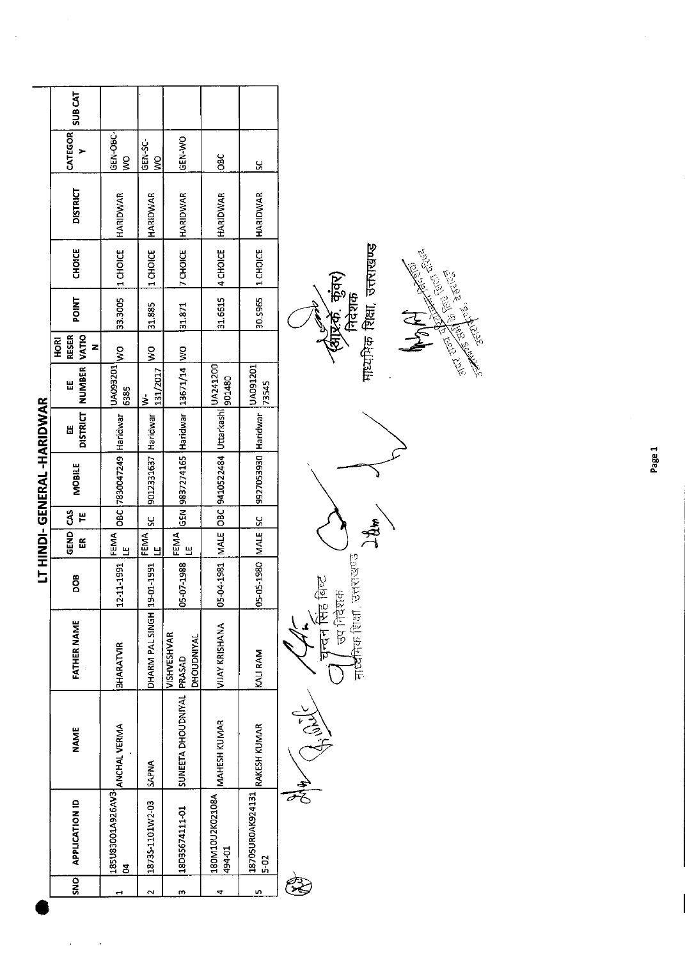|                          |                                                |                           |                           |                    |                                     |             | LT HINDI-GENERAL-HARIDWAR                                 |                      |                          |                                    |              |                  |                 |                         |                |
|--------------------------|------------------------------------------------|---------------------------|---------------------------|--------------------|-------------------------------------|-------------|-----------------------------------------------------------|----------------------|--------------------------|------------------------------------|--------------|------------------|-----------------|-------------------------|----------------|
| <b>SNO</b>               | <b>APPLICATION ID</b>                          | <b>NAME</b>               | <b>FATHER NAME</b>        | BOO                | GEND CAS<br>E                       | ٣           | <b>MOBILE</b>                                             | <b>DISTRICT</b><br>Ш | NUMBER<br>뜺              | VATIO<br>RESER<br><b>HORI</b><br>z | <b>POINT</b> | <b>CHOICE</b>    | <b>DISTRICT</b> | <b>CATEGOR</b>          | <b>SUB CAT</b> |
|                          | <b>185U83001A926AV31<br/>ANCHAL VERMA</b><br>Z |                           | <b>BHARATVIR</b>          | 12-11-1991         | FEMA <sup></sup><br>브               |             | OBC 7830047249 Haridwar                                   |                      | UA093201<br>6385         | $\frac{1}{2}$                      | 33.3005      | 1 CHOICE         | <b>HARIDWAR</b> | <b>GEN-OBC</b><br>Ş     |                |
| $\overline{\phantom{0}}$ | 1873S-1101W2-03                                | <b>SAPNA</b>              | DHARM PAL SINGH           | 19-01-1991         | FEMA  <br>Ч                         | $rac{5}{5}$ | 9012331637 Haridwar                                       |                      | 131/2017<br>$\dot{\geq}$ | ş                                  | 31.885       | 1 CHOICE         | HARIDWAR        | GEN-SC<br>$\frac{8}{2}$ |                |
| m                        | 18D35674111-01                                 | SUNEETA DHOUDNIYAL PRASAD | VISHVESHVAR<br>DHOUDNIYAL | 05-07-1988         | FEMA <sup>1</sup><br>$\overline{a}$ |             | GEN 9837274165 Haridwar 13671/14 WO                       |                      |                          |                                    | 31.871       | <b>Z</b> CHOICE  | <b>HARIDWAR</b> | GEN-WO                  |                |
| 4                        | 180M10U2K02108A<br>494-01                      | MAHESH KUMAR              | <b>VIJAY KRISHANA</b>     |                    |                                     |             | 05-04-1981  MALE  OBC  9410522484  Uttarkashi   10A241200 |                      | 1901480                  |                                    |              | 31.6615 4 CHOICE | <b>HARIDWAR</b> | $rac{1}{2}$             |                |
| ۱                        | 18705UR0AK924131 RAKESH KUMAR<br>$5-02$        |                           | KALI RAM                  | 05-05-1980 MALE SC |                                     |             | 9927053930 Haridwar                                       |                      | UA091201<br>73545        |                                    | 30.5965      | 1 CHOICE         | <b>HARIDWAR</b> | <u>ყ</u>                |                |
|                          |                                                | JA<br>C                   |                           |                    |                                     |             |                                                           |                      |                          |                                    |              |                  |                 |                         |                |

 $\geq 2$  $\frac{1}{2}$   $\frac{1}{2}$   $\frac{1}{2}$   $\frac{1}{2}$   $\frac{1}{2}$   $\frac{1}{2}$   $\frac{1}{2}$   $\frac{1}{2}$   $\frac{1}{2}$   $\frac{1}{2}$   $\frac{1}{2}$   $\frac{1}{2}$   $\frac{1}{2}$   $\frac{1}{2}$   $\frac{1}{2}$   $\frac{1}{2}$   $\frac{1}{2}$   $\frac{1}{2}$   $\frac{1}{2}$   $\frac{1}{2}$   $\frac{1}{2}$   $\frac{1}{2}$  7 चन्दन सिंह बिष्ट<br>7 जिल्लाक  $\sum_{i}$  $\sum_{i=1}^{\infty}$ offer Control

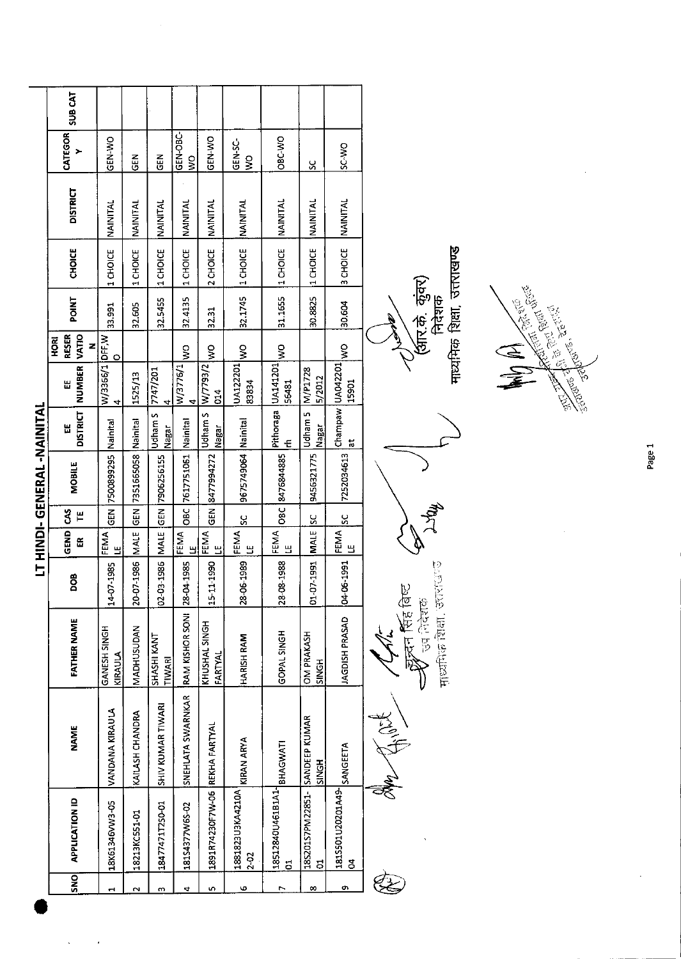|                            | <b>SUB CAT</b>                            |                         |                 |                              |                                   |                                |                          |                                     |                                     |                                  |                                                          |
|----------------------------|-------------------------------------------|-------------------------|-----------------|------------------------------|-----------------------------------|--------------------------------|--------------------------|-------------------------------------|-------------------------------------|----------------------------------|----------------------------------------------------------|
|                            | CATEGOR<br>$\rightarrow$                  | GEN-WO                  | <b>GEN</b>      | $\tilde{e}$                  | GEN-OBC-<br>$\mathop{\mathsf{S}}$ | GEN-WO                         | GEN-SC-<br>$\frac{8}{5}$ | OBC-WO                              | X                                   | SC-WO                            |                                                          |
|                            | <b>DISTRICT</b>                           | NAINITAL                | NAINITAL        | NAINITAL                     | NAINITAL                          | NAINITAL                       | NAINITAL                 | NAINITAL                            | NAINITAL                            | NAINITAL                         |                                                          |
|                            | <b>CHOICE</b>                             | 1 CHOICE                | 1 CHOICE        | 1 CHOICE                     | 1 CHOICE                          | 2 CHOICE                       | 1 CHOICE                 | 1 CHOICE                            | 1 CHOICE                            | 3 CHOICE                         |                                                          |
|                            | <b>POINT</b>                              | 33.991                  | 32.605          | 32.5455                      | 32.4135                           | 32.31                          | 32.1745                  | 31.1655                             | 30.8825                             | 30.604                           | माध्यमिक शिक्षा, उत्तराखण्ड<br>(अंरि.के कुंवर)<br>निदेशक |
|                            | <b>VATIO</b><br><b>RESER</b><br>HORI<br>z | $\circ$                 |                 |                              | Ş                                 | Š                              | $\frac{8}{3}$            | $\frac{8}{2}$                       |                                     | $\frac{1}{2}$                    |                                                          |
|                            | NUMBER<br>Ш                               | W/3366/1 DFF, W<br>4    | 1525/13         | 7747/201<br>4                | W/3776/1<br>4                     | X/Ferr/M<br>014                | UA122201<br>83834        | UA141201<br>56481                   | M/P1728<br>5/2012                   | Champaw UA042201<br>15901        | Read of the Court British                                |
|                            | <b>DISTRICT</b><br>溫                      | Nainital                | Nainital        | Udham S<br>Nagar             | Namital                           | Udham S<br>Nagar               | Nainital                 | Pithoraga<br>E                      | Udliam <sub>5</sub><br><b>Nagar</b> | $\ddot{a}$                       |                                                          |
| LT HINDI-GENERAL -NAINITAL | <b>MOBILE</b>                             | GEN 7500899295          | 7351665058      | 7906256155                   | 7617751061                        | 8477994272                     | 9675749064               | 8476844885                          | 9456321775                          | 7252034613                       |                                                          |
|                            | š<br>$\mathbf{H}$                         |                         | <b>GEN</b>      | GEN                          | $rac{}{0}$                        | <b>GEN</b>                     | S,                       | $rac{1}{28}$                        | š                                   | $\frac{5}{5}$                    |                                                          |
|                            | GEND<br>ER                                | FEMA<br>Щ               | <b>MALE</b>     | MALE                         | <b>FEMA</b><br>LEMA               | FEMA<br>LE<br>LE               | <b>FEMA</b><br>LE        | FEMA<br>Е                           | <b>MALE</b>                         | <b>FEMA</b>                      |                                                          |
|                            | <b>BOO</b>                                | 14-07-1985              | 20-07-1986      | 02-03-1986                   |                                   | 15-11-1990                     | 28-06-1989               | 28-08-1988                          | 01-07-1991                          | 04-06-1991                       | <b>KIGPO</b><br>Þ,                                       |
|                            | <b>FATHER NAME</b>                        | GANESH SINGH<br>KIRAULA | MADHUSUDAN      | SHASHI KANT<br><b>TIWARI</b> | RAM KISHOR SONI 28-04-1985        | KHUSHAL SINGH<br>FARTYAL       | HARISH RAM               | <b>GOPAL SINGH</b>                  | <b>OM PRAKASH</b><br>SINGH          | JAGDISH PRASAD                   | 可以使用的<br>न्न्दन सिंह कि<br><b>Between</b>                |
|                            | <b>NAME</b>                               | <b>VANDANA KIRAULA</b>  | KAILASH CHANDRA | SHIV KUMAR TIWARI            | SNEHLATA SWARNKAR                 |                                | KIRAN ARYA               | BHAGWATI                            | SANDEEP KUMAR<br><b>SINGH</b>       | SANGEETA                         | <b>Killy City</b>                                        |
|                            | <b>APPLICATION ID</b>                     | 18K61346VW3-05          | 18213KC551-01   | 18477471T250-01              | 18154377W65-02                    | 1891R74230F7W-06 REKHA FARTYAL | 1881823U3KA4210A<br>2-02 | 18512840U461B1A1-<br>$\overline{5}$ | 18S201S7PM22851-<br>$\overline{5}$  | 1815501U20201A49-<br>$\mathbf S$ |                                                          |
|                            | SNO                                       | $\mathbf{r}$            | $\sim$          | $\omega$                     | $\blacktriangleleft$              | Lη,                            | Φ                        | r,                                  | $\infty$                            | ø                                |                                                          |

 $\label{eq:2} \frac{1}{2} \left( \frac{1}{2} \right)^2 \frac{1}{2} \frac{1}{2} \left( \frac{1}{2} \right)^2$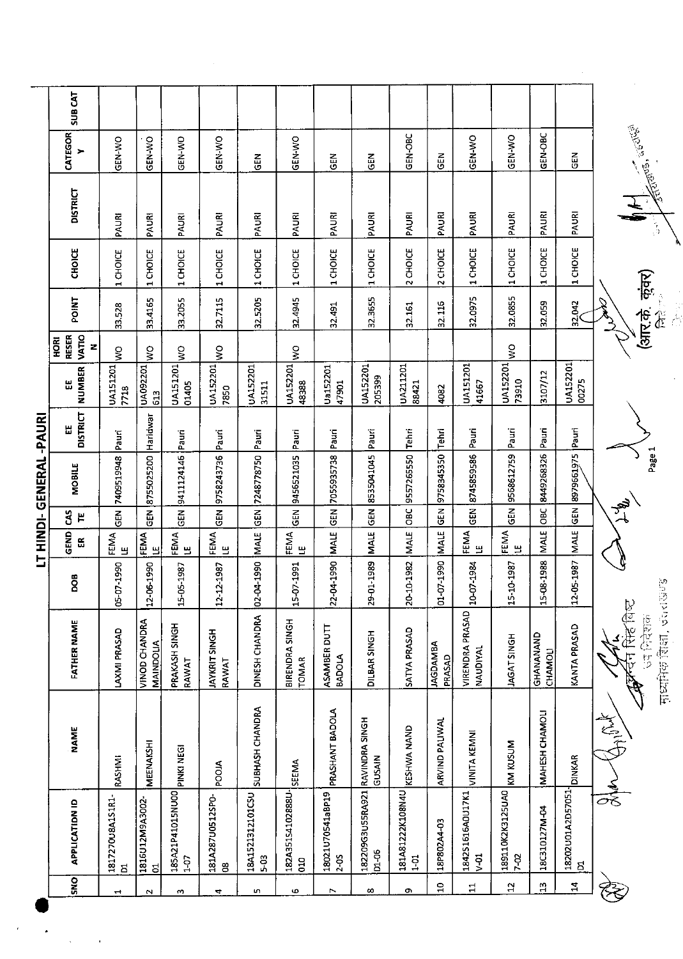| <b>SUB CAT</b>         |                          |                                                                                  |                                                                                    |                                                                                            |                                                                                              |                                                                                              |                                                                      |                                                                                          |                                                                                |                                                                |                             |                                                       |                                         |                      |                                              |
|------------------------|--------------------------|----------------------------------------------------------------------------------|------------------------------------------------------------------------------------|--------------------------------------------------------------------------------------------|----------------------------------------------------------------------------------------------|----------------------------------------------------------------------------------------------|----------------------------------------------------------------------|------------------------------------------------------------------------------------------|--------------------------------------------------------------------------------|----------------------------------------------------------------|-----------------------------|-------------------------------------------------------|-----------------------------------------|----------------------|----------------------------------------------|
| CATEGOR<br>≻           | <b>OW-N3S</b>            | GEN-WO                                                                           | GEN-WO                                                                             | <b>GEN-WO</b>                                                                              | $\frac{z}{9}$                                                                                | <b>GEN-WO</b>                                                                                | <b>GEN</b>                                                           | GEN                                                                                      | GEN-OBC                                                                        | GEN                                                            | <b>GEN-WO</b>               | <b>GEN-WO</b>                                         | GEN-OBC                                 | 즶                    | <b>COULED</b>                                |
| <b>DISTRICT</b>        | PAURI                    | PAURI                                                                            | PAURI                                                                              | PAURI                                                                                      | PAURI                                                                                        | PAURI                                                                                        | PAURI                                                                | PAURI                                                                                    | PAURI                                                                          | PAURI                                                          | PAURI                       | PAURI                                                 | PAURI                                   | PAURI                | $\frac{7}{2}$                                |
| <b>CHOICE</b>          | 1 CHOICE                 | 1 CHOICE                                                                         | 1 CHOICE                                                                           | 1 CHOICE                                                                                   | 1 CHOICE                                                                                     | 1 CHOICE                                                                                     | CHOICE<br>$\blacksquare$                                             | 1 CHOICE                                                                                 | 2 CHOICE                                                                       | 2 CHOICE                                                       | 1 CHOICE                    | 1 CHOICE                                              | 1 CHOICE                                | 1 CHOICE             |                                              |
| <b>POINT</b>           | 33.528                   | 33.4165                                                                          | 33.2055                                                                            | 32.7115                                                                                    | 32.5205                                                                                      | 32.4945                                                                                      | 32.491                                                               | 32.3655                                                                                  | 32.161                                                                         | 32.116                                                         | 32.0975                     | 32.0855                                               | 32.059                                  | 32.042               | (अार.के. कुंवर)<br>$\hat{t}$<br>الا<br>أينكم |
| <b>PORT</b><br>z       | ş                        | ş                                                                                | $\frac{1}{3}$                                                                      | Ş                                                                                          |                                                                                              | Š                                                                                            |                                                                      |                                                                                          |                                                                                |                                                                |                             | ş                                                     |                                         |                      |                                              |
| <b>NUMBER</b><br>Ш     | <b>UA151201</b><br>7718  | UA092201<br>613                                                                  | UA151201<br>01405                                                                  | UA152201<br>7850                                                                           | <b>UA152201</b><br>31511                                                                     | UA152201<br>48388                                                                            | Ua152201<br>47901                                                    | UA152201<br>205399                                                                       | UA211201<br>88421                                                              | 4082                                                           | UA151201<br>41667           | UA152201<br>73910                                     | 3107/12                                 | UA152201<br>00275    |                                              |
| <b>DISTRICT</b><br>Н   | Pauri                    | Haridwar                                                                         | Pauri                                                                              | Pauri                                                                                      |                                                                                              | Pauri                                                                                        | Pauri                                                                | Pauri                                                                                    | Tehn                                                                           | Tehri                                                          | Pauri                       | Pauri                                                 | Pauri                                   | Pauri                |                                              |
| MOBILE                 |                          |                                                                                  |                                                                                    |                                                                                            |                                                                                              |                                                                                              |                                                                      |                                                                                          |                                                                                |                                                                |                             |                                                       |                                         |                      | Page 1                                       |
| g<br>$\mu$             |                          |                                                                                  |                                                                                    |                                                                                            |                                                                                              |                                                                                              |                                                                      |                                                                                          |                                                                                | <b>GEN</b>                                                     | <b>GEN</b>                  | ĞΕ<br>Ο                                               | ОBC                                     | <b>GEN</b>           | $\tilde{\mathbf{z}}$                         |
| GEND<br>$\mathfrak{S}$ |                          | ப                                                                                |                                                                                    |                                                                                            |                                                                                              |                                                                                              |                                                                      |                                                                                          |                                                                                |                                                                |                             |                                                       | <b>MALE</b>                             | MALE                 |                                              |
| <b>BOD</b>             | 990                      | 990                                                                              | 987                                                                                | 987                                                                                        | 990                                                                                          | 50<br>$15 - 07 - 1$                                                                          | 990<br>22-04-1                                                       | 989<br>29-01-1                                                                           | 982<br>20-10-1                                                                 | 990<br>01-07-1                                                 | 984                         | 15-10-1987                                            | 1988<br>15-08-1                         | 587<br>$12 - 05 - 1$ |                                              |
| <b>FATHER NAME</b>     | LAXMI PRASAD             | VINOD CHANDRA<br>MAINDOUA                                                        | PRAKASH SINGH<br>RAWAT                                                             | <b>JAYKRIT SINGH</b><br>RAWAT                                                              | DINESH CHANDRA                                                                               | BIRENDRA SINGH<br><b>TOMAR</b>                                                               |                                                                      | DILBAR SINGH                                                                             | SATYA PRASAD                                                                   | <b>JAGDAMBA</b><br>PRASAD                                      | VIRENDRA PRASAD<br>NAUDIYAL | <b>JAGAT SINGH</b>                                    | <b>GHANANAND</b><br>CHAMOLI             | KANTA PRASAD         | Spisover, URP BettsH<br>ℤ<br>िदशल<br>一切      |
| <b>NAME</b>            | RASHMI                   | MEENAKSHI                                                                        | PINKI NEGI                                                                         | <b>POOJA</b>                                                                               | SUBHASH CHANDRA                                                                              | <b>SEEMA</b>                                                                                 | PRASHANT BADOLA                                                      | <b>GUSAIN</b>                                                                            | KESHWA NAND                                                                    | ARVIND PALIWAL                                                 | VINITA KEMNI                | KM KUSUM                                              | MAHESH CHAMOLI                          | <b>DINKAR</b>        | <b>ASSET</b>                                 |
| <b>APPLICATION ID</b>  |                          |                                                                                  |                                                                                    |                                                                                            |                                                                                              |                                                                                              |                                                                      |                                                                                          |                                                                                | 18P802A4-03                                                    | 1842S1616A0U17K1            | 189110K2K3125UA0                                      | 18C310127M-04                           |                      |                                              |
| <b>SNO</b>             | $\overline{\phantom{0}}$ | $\mathbf{\Omega}$                                                                | m                                                                                  | ₹.                                                                                         | m                                                                                            | 6                                                                                            | r                                                                    | œ                                                                                        | o۱                                                                             | $\frac{1}{2}$                                                  | $\frac{1}{11}$              | $\mathbf{a}$                                          | $\mathfrak{D}$                          | $\mathbf{z}$         |                                              |
|                        | VATIO<br><b>RESER</b>    | 7409519948<br>$\overline{6E}$<br>FEMA<br>பூ<br>05-07-19<br>1817270U8A1S1R1-<br>Ξ | 8755025200<br>$\tilde{5}$<br>FEMA<br>12-06-19<br>1816U12M9A3002-<br>$\overline{5}$ | 9411124146<br>$\overline{5}$<br>נב<br>גבוא<br>$15 - 05 - 11$<br>185A21P41015NU00<br>$1-07$ | 9758243736<br><b>NBO</b><br>FEMA<br>Le<br>$12 - 12 - 1!$<br>181A287U0512SP0-<br>$\mathbf{g}$ | Pauri<br>7248778750<br>$\tilde{a}$<br><b>MALE</b><br>$02.04 - 1$<br>18A1521312101CSU<br>5-03 | 9456521035<br>$\frac{2}{5}$<br>FEMA<br>۳<br>182A35154102888U-<br>010 | 7055935738<br>GEN<br><b>MALE</b><br>ASAMBER DUTT<br>BADOLA<br>18021U70541aBP19<br>$-0.5$ | 8535041045<br>$rac{5}{10}$<br>MALE<br>182209G3U55RA921 RAVINDRA SINGH<br>D1-06 | 9557265550<br>OBC<br><b>MALE</b><br>181A81222K108N4U<br>$1-01$ | 9758345350<br>MALE          | 8745859586<br>HEMA<br>1日<br>10-07-1<br>5 <sup>1</sup> | 9568612759<br><b>FEMA</b><br>LE<br>7-02 | 8449268326           | 8979661975<br>18202U01A2D57051-<br>[01       |

 $\label{eq:2} \frac{d\mathbf{r}}{dt} = \frac{1}{2} \mathbf{r} \frac{\partial \mathbf{r}}{\partial \mathbf{r}}$ 

 $\hat{\mathbf{r}}$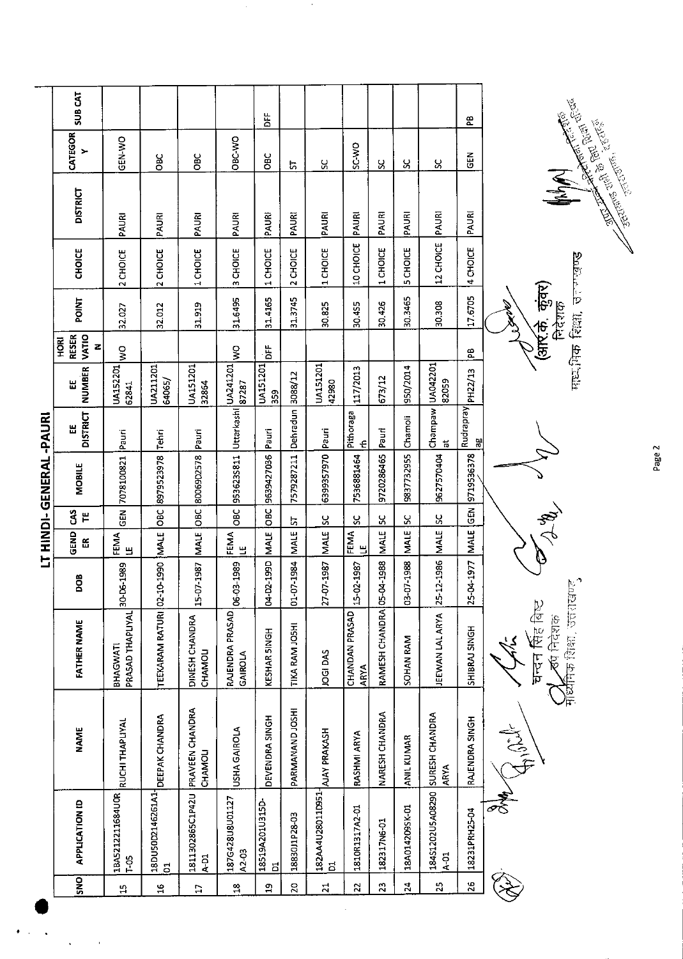|                |                                           |                                   |                                                                          |               |                                  |                  | LT HINDI- GENERAL -PAURI |                                           |                          |                                  |                                                         |                                    |                                                                             |              |                |
|----------------|-------------------------------------------|-----------------------------------|--------------------------------------------------------------------------|---------------|----------------------------------|------------------|--------------------------|-------------------------------------------|--------------------------|----------------------------------|---------------------------------------------------------|------------------------------------|-----------------------------------------------------------------------------|--------------|----------------|
| <b>DNS</b>     | <b>APPLICATION ID</b>                     | <b>NAME</b>                       | <b>FATHER NAME</b>                                                       | BOO           | GEND<br>$\widetilde{\mathbb{E}}$ | $3^{\circ}$<br>쁱 | <b>MOBILE</b>            | <b>DISTRICT</b><br>뿝                      | <b>NUMBER</b><br>Ш       | RESER<br>VATIO<br><b>BE</b><br>z | POINT                                                   | CHOICE                             | <b>DISTRICT</b>                                                             | CATEGOR<br>> | <b>SUB CAT</b> |
| 5ì             | 1BA5212211684U0R<br>$T-05$                | <b>RUCHI THAPLIYAL</b>            | PRASAD THAPLIYAL 30-D6-1989<br>BHAGWATI                                  |               | FEMA<br>필                        |                  | GEN 7078100821           | Pauri                                     | <b>UA152201</b><br>62841 | $\frac{1}{2}$                    | 32.027                                                  | 2 CHOICE                           | PAURI                                                                       | GEN-WO       |                |
| ă              | 18DU50D2146261A1-<br>$\overline{5}$       | DEEPAK CHANDRA                    | TEEXARAM RATURI 02-10-1990                                               |               | MALE                             | $rac{c}{\sigma}$ | 8979523978               | Tehn                                      | UA211201<br>64065/       |                                  | 32.012                                                  | 2 CHOICE                           | PAURI                                                                       | ăo           |                |
| $\mathbf{L}$   | 1811302865C1P42U<br>$A-D1$                | PRAVEEN CHANDRA<br><b>CHAMOLI</b> | DINESH CHANDRA<br>CHAMOLI                                                | 15-07-1987    | <b>MALE</b>                      | OBC              | 8006902578               | Pauri                                     | <b>UA151201</b><br>32864 |                                  | 31.919                                                  | 1 CHOICE                           | PAURI                                                                       | <b>OBC</b>   |                |
| $\frac{8}{10}$ | 187G428U8U01127<br>A2-03                  | USHA GAIROLA                      | RAJENDRA PRASAD<br>GAIROLA                                               | 03-1989<br>હે | FEMA<br>۳                        | ăб               | 9536235811               | Uttarkashi                                | UA241201<br>87287        | ş                                | 31.6495                                                 | CHOICE<br>$\omega$                 | PAURI                                                                       | OBC-WO       |                |
| ۵Ë             | 18519A201U315D-<br>$\overline{a}$         | DEVENDRA SINGH                    | KESHAR SINGH                                                             | 04-02-1990    | <b>MALE</b>                      | OВС              | 9639427036               | Pauri                                     | <b>UA151201</b><br>359   | ă                                | 31.4165                                                 | CHOICE<br>$\overline{\phantom{0}}$ | PAURI                                                                       | <b>OBC</b>   | ă              |
| $\mathbf{z}$   | 18830J1P28-03                             | PARMANAND JOSHI                   | TIKA RAM JOSHI                                                           | 01-07-1984    | <b>MALE</b>                      | 능                | 7579287211               | Dehradun 3088/12                          |                          |                                  | 31.3745                                                 | 2 CHOICE                           | PAURI                                                                       | 5            |                |
| $\overline{z}$ | 182AA4U28011D951-<br>ដ                    | AJAY PRAKASH                      | JOGI DAS                                                                 | 27-07-1987    | MALE                             | Χ,               | 6399357970               | Pauri                                     | <b>UA151201</b><br>42980 |                                  | 30.825                                                  | 1 CHOICE                           | PAURI                                                                       | ပ္ပ          |                |
| $\mathbf{z}$   | 1810R1317A2-01                            | RASHMI ARYA                       | CHANDAN PRASAD<br>ARYA                                                   | 15-02-1987    | FEMA<br>巴                        | χ                | 7536881464               | Pithoraga<br>£                            | 117/2013                 |                                  | 30.455                                                  | 10 CHOICE                          | PAURI                                                                       | SC-WO        |                |
| 23             | 182317N6-01                               | NARESH CHANDRA                    | RAMESH CHANDRA OS-                                                       | -04-1988      | <b>MALE</b>                      | ပ္တ              | 9720286465               | Pauri                                     | 673/12                   |                                  | 30.426                                                  | 1 CHOICE                           | PAURI                                                                       | χ            |                |
| $\mathbf{z}$   | 18A014209SK-01                            | <b>ANIL KUMAR</b>                 | SOHAN RAM                                                                | 03-07-1988    | <b>MALE</b>                      | ပ္တ              | 9837732955               | Chamoli                                   | 950/2014                 |                                  | 30.3465                                                 | 5 CHOICE                           | PAURI                                                                       | ပ္တ          |                |
| 25             | 18451202U5A08290 SURESH CHANDRA<br>$A-01$ | <b>ARYA</b>                       | JEEWAN LAL ARYA                                                          | 25-12-1986    | <b>MALE</b>                      | 55               | 9627570404               | Champaw<br>$\overline{\overline{\omega}}$ | UA042201<br>82059        |                                  | 30.308                                                  | 12 CHOICE                          | PAURI                                                                       | Χ,           |                |
| 26             | 18231PRH25-04                             | RAJENDRA SINGH                    | SHIBRAJ SINGH                                                            | 04-1977<br>25 | <b>MALE</b>                      | <b>GEN</b>       | 9719536378               | Rudrapray<br>꾆                            | PH22/13                  | ٩Ê                               | 17.6705                                                 | 4 CHOICE                           | PAURI                                                                       | 도<br>양       | æ              |
|                |                                           | $\frac{1}{2}$                     | <b>माध्येनिक शिक्षा, उत्तराखण्ड</b> ,<br>चन्दन सिंह बिष्ट<br>र्खा निदेशक |               |                                  | $\frac{1}{2}$    |                          |                                           |                          |                                  | माधभिक रिल्ला, जनगण्डण्ड<br>(अर्रि.के. कुंवर)<br>निदेशक |                                    | Fatally of the court of the district<br><b>RECEIVED MANUSCRIPTION</b><br>NN |              |                |

 $\ddot{\phantom{1}}$ 

 $\frac{1}{2}$ 

 $\frac{1}{2}$  ,  $\frac{1}{2}$ 

 $\bullet$  $\hat{\boldsymbol{\beta}}$   $\gamma$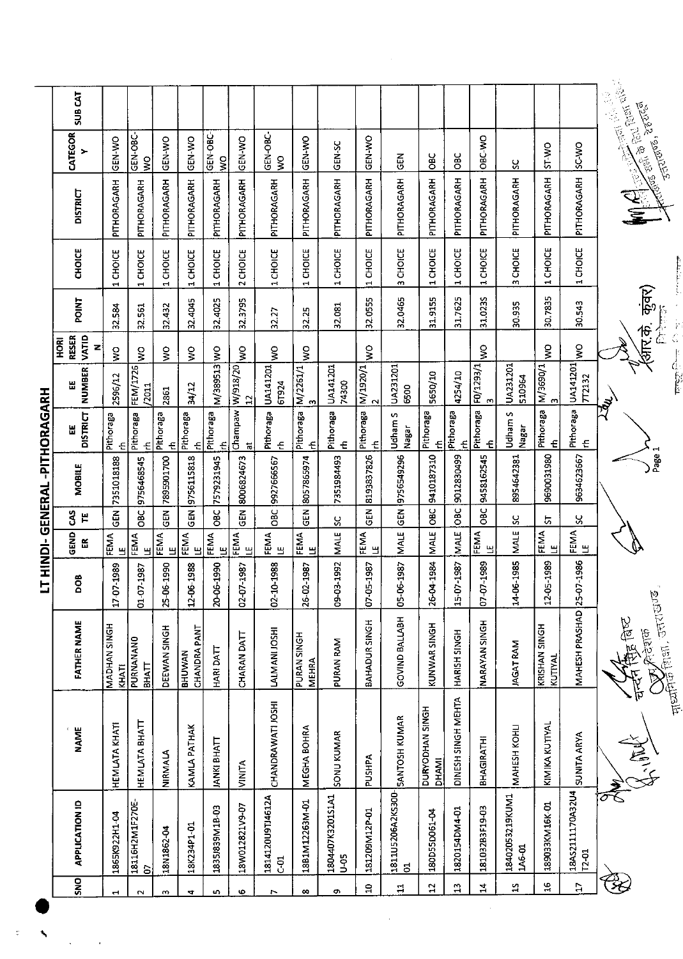|                              | SUB CAT                            |                           |                           |                   |                               |                   |                               |                         |                                    |                               |                |                                   |                                 |                           |                     |                           |                         |                               |                                                                                                                                                                                                                                                                                         |
|------------------------------|------------------------------------|---------------------------|---------------------------|-------------------|-------------------------------|-------------------|-------------------------------|-------------------------|------------------------------------|-------------------------------|----------------|-----------------------------------|---------------------------------|---------------------------|---------------------|---------------------------|-------------------------|-------------------------------|-----------------------------------------------------------------------------------------------------------------------------------------------------------------------------------------------------------------------------------------------------------------------------------------|
|                              | CATEGOR<br>$\blacktriangleright$   | GEN-WO                    | GEN-OBC-<br>ş             | GEN-WO            | GEN-WO                        | GEN-OBC-<br>ş     | GEN-WO                        | GEN-OBC-<br>Š           | GEN-WO                             | <b>GEN-SC</b>                 | GEN-WO         | $\frac{2}{3}$                     | 8C                              | $rac{c}{c}$               | OBC-WO              | ပ္တ                       | ST-WO                   | SC-WO                         | <b>Assembly</b><br>الإنجادية المستعمل المجال المجال المجال المجال المجال المجال المجال المجال المجال المجال المجال المجال المجال<br>المجال المجال المجال المجال المجال المجال المجال المجال المجال المجال المجال المجال المجال المجال المجال المجا<br>नुनाराणिक, देहरारुव<br>उन्तराणिक, |
|                              | <b>DISTRICT</b>                    | PITHORAGARH               | PITHORAGARH               | PITHORAGARH       | PITHORAGARH                   | PITHORAGARH       | PITHORAGARH                   | PITHORAGARH             | PITHORAGARH                        | PITHORAGARH                   | PITHORAGARH    | PITHORAGARH                       | PITHORAGARH                     | PITHORAGARH               | PITHORAGARH         | PITHORAGARH               | PITHORAGARH             | PITHORAGARH                   |                                                                                                                                                                                                                                                                                         |
|                              | <b>CHOICE</b>                      | 1 CHOICE                  | 1 CHOICE                  | 1 CHOICE          | 1 CHOICE                      | 1 CHOICE          | 2 CHOICE                      | 1 CHOICE                | 1 CHOICE                           | 1 CHOICE                      | 1 CHOICE       | 3 CHOICE                          | 1 CHOICE                        | 1 CHOICE                  | 1 CHOICE            | 3 CHOICE                  | 1 CHOICE                | 1 CHOICE                      |                                                                                                                                                                                                                                                                                         |
|                              | <b>POINT</b>                       | 32.584                    | 32.561                    | 32.432            | 32.4045                       | 32.4025           | 32.3795                       | 32.27                   | 32.25                              | 32.081                        | 32.0555        | 32.0465                           | 31.9155                         | 31.7625                   | 31.0235             | 30.935                    | 30.7835                 | 30.543                        | कुवर)                                                                                                                                                                                                                                                                                   |
|                              | VATID<br><b>RESER</b><br>HORI<br>Z | $\mathsf{S}^{\mathsf{O}}$ | ş                         | $\geqslant$       | $\mathsf{S}$                  |                   | Ş                             | ş                       | ş                                  |                               | $\frac{1}{3}$  |                                   |                                 |                           | Ş                   |                           | ş                       | $\mathsf{S}^{\mathsf{O}}$     | र्कार के.<br>すぐ                                                                                                                                                                                                                                                                         |
|                              | <b>NUMBER</b><br>出                 | 2596/12                   | FEM/1726<br>7011          | 2861              | 34/12                         | M/389513 WO       | $\mathbf{r}$                  | UA141201<br>61924       | M/2261/1<br>-m                     | UA141201<br>74300             | M/1920/1       | UA231201<br>6500                  | 5650/10                         | 4254/10                   | F0/1293/1<br>m      | UA231201<br>510964        | M/3690/1<br> 3          | UA141201<br><b>7T2132</b>     | प्राप्त होग                                                                                                                                                                                                                                                                             |
|                              | <b>DISTRICT</b><br>出               | Pithoraga<br>준            | Pithoraga<br>든            | Pithoraga<br>€    | Pithoraga<br>£                | Pithoraga<br>€    | Champaw W/918/20<br>$\vec{a}$ | Pithoraga<br>준          | Pithoraga<br>£                     | Pithoraga<br>£                | Pithoraga<br>€ | Udham S<br>Nagar                  | Pithoraga<br>$\epsilon$         | Pithoraga<br>$\epsilon$   | Pithoraga<br>£      | Udham S<br><b>Nagar</b>   | Pithoraga<br>$\epsilon$ | Pithoraga<br>£                | <b>Zwy</b>                                                                                                                                                                                                                                                                              |
| T HINDI-GENERAL -PITHORAGARH | <b>MOBILE</b>                      | 7351018188                | 9756468545                | 7895901700        | 9756115818                    | 7579231945        | 8006824673                    | OBC 9927666567          | 8057865974                         | 7351984493                    | 8193837826     | 9756549296                        | 9410187310                      | 9012830499                | 9458162545          | 8954642381                | 9690031980              | 9634623667                    | Page 1                                                                                                                                                                                                                                                                                  |
|                              | $\mathbf{3}$<br>٣                  | GEN <sup>-</sup>          | OBC:                      | <b>GEN</b>        | GEN <sup>T</sup>              | 36C               | GEN <sub></sub>               |                         | $\tilde{a}$                        | ပ္တ                           | $\frac{2}{5}$  | GEN                               | OBC                             | $ {\rm osc}\rangle$       | OBC                 | ပ္တ                       | 5                       | S.                            |                                                                                                                                                                                                                                                                                         |
|                              | GEND<br>띥                          | FEMA<br>۳                 | FEMA<br>Ш                 | FEMA<br>Е         | EMA<br>또 면                    | FEMA<br>ப         | FEMA<br>끸                     | <b>FEMA</b><br>LE       | <b>EEMA</b><br>LE                  | MALE                          | FEMA<br>Ш      | <b>MALE</b>                       | <b>MALE</b>                     | <b>MALE</b>               | <b>EEMA</b><br>EEMA | MALE                      | <b>FEMA</b><br>LE       | <b>FEMA</b><br>LE             |                                                                                                                                                                                                                                                                                         |
|                              | <b>SOO</b>                         | 17-07-1989                | 01-07-1987                | 16-1990<br>$25-0$ | 16-1988<br>$12-0$             | 0661-91<br>ट<br>इ | 02-07-1987                    | 02-10-1988              | 26-02-1987                         | 09-03-1992                    | 07-05-1987     | 05-06-1987                        | 26-04-1984                      | 07-1987<br>$\frac{1}{12}$ | 07-07-1989          | 14-06-1985                | 12-05-1989              | 07-1986<br>25<                |                                                                                                                                                                                                                                                                                         |
|                              | <b>FATHER NAME</b>                 | MADHAN SINGH<br>KHATI     | PURNANANO<br><b>BHATT</b> | DEEWAN SINGH      | CHANDRA PANT<br><b>BHUWAN</b> | HARI DATT         | <b>CHARAN DATT</b>            | LALMANI JOSHI           | <b>PURAN SINGH</b><br><b>MEHRA</b> | PURAN RAM                     | BAHADUR SINGH  | <b>GOVIND BALLABH</b>             | KUNWAR SINGH                    | HARISH SINGH              | NARAYAN SINGH       | <b>IAGAT RAM</b>          | KUTIYAL<br>KUTIYAL      | MAHESH PRASHAD                | <b>Hought Park Children</b><br>雷食<br>वटशक                                                                                                                                                                                                                                               |
|                              | <b>NAME</b>                        | HEMLATA KHATI             | НЕМІАТА ВНАТТ             | NIRMALA           | KAMLA PATHAK                  | JANKI BHATT       | <b>VINITA</b>                 | CHANDRAWATI JOSHI       | MEGHA BOHRA                        | <b>SONU KUMAR</b>             | <b>PUSHPA</b>  | <b>SANTOSH KUMAR</b>              | DURYODHAN SINGH<br><b>INAHO</b> | DINESH SINGH MEHTA        | BHAGIRATHI          | MAHESH KOHLI              | KIMIKA KUTIYAL          | <b>SUNITA ARYA</b>            | ļΡ<br>K-100K                                                                                                                                                                                                                                                                            |
|                              | <b>APPLICATION ID</b>              | 1865K922H1-04             | 18116H2M1F270E-<br>G      | 18N1862-04        | 18K234P1-01                   | 1835J839M1B-03    | 18W012821V9-07                | ASI34120U9TJ4612A<br>ភូ | 18B1M12263M-01                     | 1804407K3201S1A1<br><b>95</b> | 181209M12P-01  | 1811U5206A2KS300-<br>$\mathbf{S}$ | 180D55D061-04                   | 1820154DM4-01             | 181032B3F19-03      | 18402053219KUM1<br>146-01 | 189033KM16K-01          | 18AS2111170A32U4<br>$T2 - 01$ |                                                                                                                                                                                                                                                                                         |
|                              | SNO                                | $\mathbf{r}$              | $\sim$                    | S                 | 4                             | n,                | $\overline{6}$                | $\overline{ }$          | œ                                  | ¢                             | ុម<br>អ        | 듼                                 | 5                               | $\frac{1}{2}$             | $\frac{4}{11}$      | 51                        | 윾                       | E                             |                                                                                                                                                                                                                                                                                         |

 $\mathbb{E} \left[ \left\langle \mathbf{X} \right\rangle \right]_{\mathcal{M}^{(n)} \times \mathcal{M}^{(n)} \times \mathcal{M}^{(n)} \times \mathcal{M}^{(n)} \times \mathcal{M}^{(n)} \times \mathcal{M}^{(n)} \times \mathcal{M}^{(n)} \times \mathcal{M}^{(n)} \times \mathcal{M}^{(n)} \times \mathcal{M}^{(n)} \times \mathcal{M}^{(n)} \times \mathcal{M}^{(n)} \times \mathcal{M}^{(n)} \times \mathcal{M}^{(n)} \times \mathcal{M}^{(n)} \times \mathcal{M}^{(n)} \times \$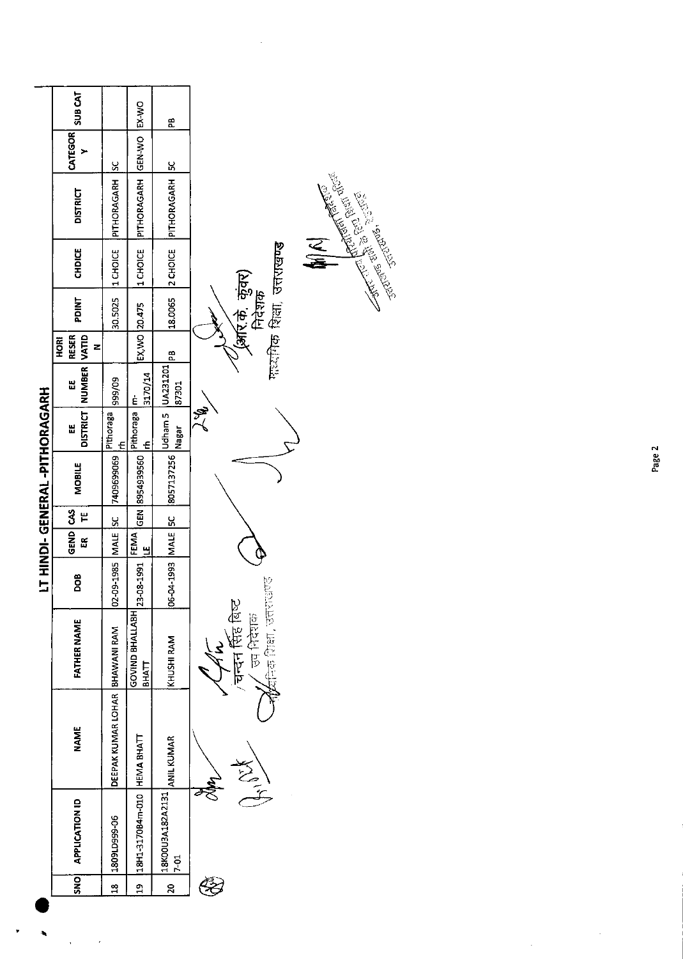|                              | <b>SUB CAT</b>                   |                                | EX-WO                           | £                                 |                                                                                                               |
|------------------------------|----------------------------------|--------------------------------|---------------------------------|-----------------------------------|---------------------------------------------------------------------------------------------------------------|
|                              | CATEGOR<br>➤                     | <u>sc</u>                      | <b>GEN-WO</b>                   | 5C                                |                                                                                                               |
|                              | <b>DISTRICT</b>                  | PITHORAGARH                    | PITHORAGARH                     | PITHORAGARH                       | Redistributed the Contract of the Contract of the Contract of the Contract of the Contract of the Contract of |
|                              | <b>CHDICE</b>                    | 1 CHOICE                       | 1 CHOICE                        | 2 CHOICE                          | $\sum_{i=1}^{n}$<br>गारदायिक शिक्षा, उत्तराखण्ड                                                               |
|                              | PDINT                            | 30.5025                        |                                 | 18.0065                           | (अर्रिके, कुंवर)<br>निदेशक                                                                                    |
|                              | <b>RESER</b><br><b>HORI</b><br>z |                                | EX, WO 20.475                   | æ                                 |                                                                                                               |
|                              | NUMBER VATID<br>出                | 60/666                         | 3170/14                         | Udham 5 UA231201<br>87301         |                                                                                                               |
|                              | <b>DISTRICT</b><br>뗦             | Pithoraga<br>E                 | Pithoraga   m-<br>$\epsilon$    | Nagar                             | تحج                                                                                                           |
| LT HINDI-GENERAL-PITHORAGARH | <b>MOBILE</b>                    | 7409699069                     | 8954939560                      | 8057137256                        |                                                                                                               |
|                              | ٣                                | <u>u</u>                       | GEN                             | <u>sc</u>                         |                                                                                                               |
|                              | GEND CAS<br>ដ                    | MALE                           | FEMA<br>Е                       |                                   |                                                                                                               |
|                              | DOB                              | 02-09-1985                     | 23-08-1991                      | 06-04-1993 MALE                   |                                                                                                               |
|                              | <b>FATHER NAME</b>               |                                | GOVIND BHALLABH<br><b>BHATT</b> | KHUSHI RAM                        | parcies face forty<br>चन्दन सिंह बिष्ट<br>ज्य निदेशक                                                          |
|                              | <b>NAME</b>                      | DEEPAK KUMAR LOHAR BHAWANI RAM | <b>HEMA BHATT</b>               | ANIL KUMAR                        |                                                                                                               |
|                              | <b>APPLICATION ID</b>            | 1809LD999-06                   | 18H1-3170B4m-010                | 18K00U3A182A2131<br>$\frac{5}{2}$ | ميت<br>م                                                                                                      |
|                              | DNS                              | $\frac{8}{10}$                 | ភ្ន                             | $\overline{a}$                    |                                                                                                               |
|                              |                                  |                                |                                 |                                   |                                                                                                               |

 $\ddot{\phantom{0}}$ 

 $\ddot{\cdot}$ 

Page 2

 $\hat{\mathcal{A}}$ 

 $\hat{\mathcal{L}}$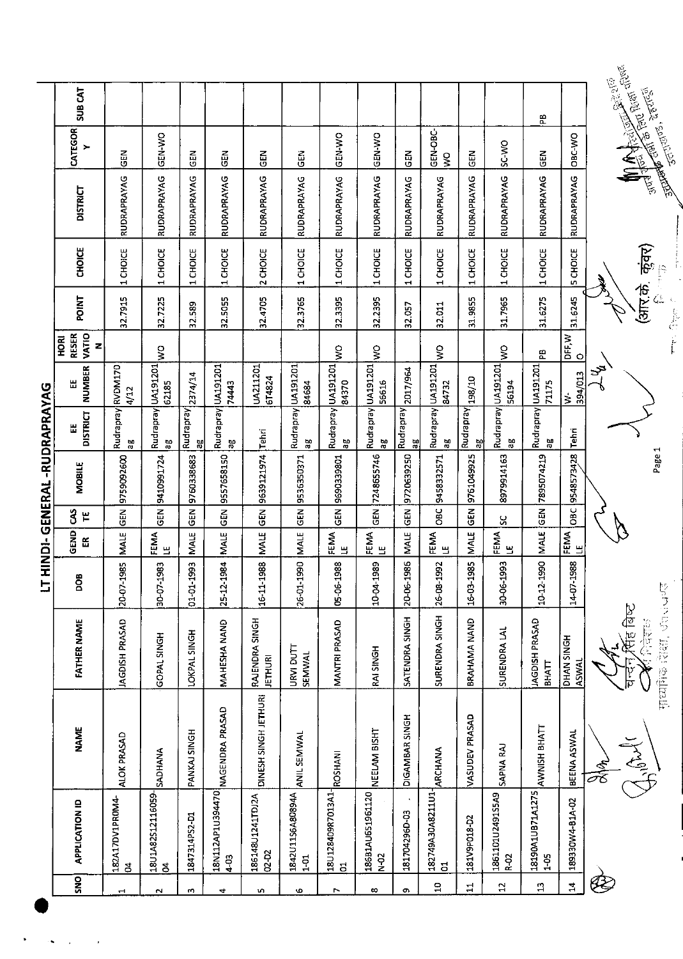| SUB CAT                 |                                      |                                         |                                                                |                          |                                                             |                                         |                                                                  |                                              |                                                                             |                    |                                                       |                        | 문                                                      |                                                                 |                                               | <b>Recorded States Bush of Page</b><br>नुत्ताराष्ठि, देहरादुर्ग |
|-------------------------|--------------------------------------|-----------------------------------------|----------------------------------------------------------------|--------------------------|-------------------------------------------------------------|-----------------------------------------|------------------------------------------------------------------|----------------------------------------------|-----------------------------------------------------------------------------|--------------------|-------------------------------------------------------|------------------------|--------------------------------------------------------|-----------------------------------------------------------------|-----------------------------------------------|-----------------------------------------------------------------|
| CATEGOR<br>≻            | 즶                                    | GEN-WO                                  | EN<br>35                                                       | 군<br>양                   | 즶                                                           | るじ                                      | GEN-WO                                                           | <b>OK-N3D</b>                                | $rac{1}{5}$                                                                 | GEN-OBC-<br>$\leq$ | <b>GEN</b>                                            | SC-WO                  | EN<br>5                                                | OBC VVO                                                         |                                               |                                                                 |
| <b>DISTRICT</b>         | RUDRAPRAYAG                          | RUDRAPRAYAG                             | RUDRAPRAYAG                                                    | RUDRAPRAYAG              | RUDRAPRAYAG                                                 | RUDRAPRAYAG                             | RUDRAPRAYAG                                                      | RUDRAPRAYAG                                  | RUDRAPRAYAG                                                                 | RUDRAPRAYAG        | RUDRAPRAYAG                                           | RUDRAPRAYAG            | RUDRAPRAYAG                                            | RUDRAPRAYAG                                                     |                                               |                                                                 |
| CHOICE                  | 1 CHOICE                             | 1 CHOICE                                | 1 CHOICE                                                       | 1 CHOICE                 | 2 CHOICE                                                    | <b>CHOICE</b><br>$\mathbf \cdot$        | 1 CHOICE                                                         | 1 CHOICE                                     | CHOICE<br>$\blacktriangleleft$                                              | 1 CHOICE           | 1 CHOICE                                              | 1 CHOICE               | 1 CHOICE                                               | 5 CHOICE                                                        |                                               | कृक्र)<br>þ                                                     |
| POINT                   | 32.7915                              | 32.7225                                 | 32.589                                                         | 32.5055                  | 32.4705                                                     | 32.3765                                 | 32.3395                                                          | 32.2395                                      | 32.057                                                                      | 32.011             | 31.9855                                               | 31.7965                | 31.6275                                                | 31.6245                                                         |                                               | (आर.के.<br>$\frac{E}{C^2}$                                      |
| <b>ROKI</b><br>Z        |                                      | $\frac{1}{2}$                           |                                                                |                          |                                                             |                                         | $\mathsf{S}$                                                     | ş                                            |                                                                             | ş                  |                                                       | $\frac{1}{2}$          | 뚠                                                      | $\circ$                                                         |                                               | ĺ                                                               |
| <b>NUMBER</b><br>出      | RVDM170                              |                                         |                                                                |                          | UA211201                                                    |                                         |                                                                  |                                              | 2017/964                                                                    | 84732              |                                                       | 56194                  | 71175                                                  | 394/013<br>∣'≾                                                  | ىتى                                           |                                                                 |
| <b>DISTRICT</b><br>Ш    | Rudrapray<br>ಜ್ಞ                     | Rudrapray<br>50                         | Rudrapray<br>꾆                                                 | Rudrapray<br>90          | Tehri                                                       | 50                                      | Rudrapray<br>50                                                  | Rudrapray<br>аg                              | Rudrapray<br>꾆                                                              | Яã                 | Rudrapray<br>50<br>70                                 | ά                      | æ                                                      | Tehri                                                           |                                               |                                                                 |
| MOBILE                  | 9759092600                           | 9410991724                              | 9760338683                                                     | 9557658150               | 9639121974                                                  | 9536350371                              | 9690339801                                                       | 7248655746                                   | 9720639250                                                                  | 9458332571         | 9761049925                                            | 8979914163             | 7895074219                                             | 9548573428                                                      |                                               | Page 1                                                          |
| $\mathbf{3}$<br>۳       | $rac{1}{9}$                          | GEN                                     | GEN                                                            | $rac{2}{5}$              | GEN                                                         | <b>GEN</b>                              | $\frac{2}{9}$                                                    | <u>즎</u>                                     | $\frac{2}{3}$                                                               | OBC                | GEN                                                   | ပ္တ                    | GEN                                                    | OBC                                                             |                                               |                                                                 |
| 뜺                       | <b>MALE</b>                          | 끸                                       | <b>MALE</b>                                                    | <b>MALE</b>              | MALE                                                        | <b>MALE</b>                             | FEMA<br>巴                                                        |                                              | MALE                                                                        |                    | MALE                                                  | ப                      |                                                        |                                                                 |                                               |                                                                 |
| <b>SOC</b>              | 20-07-1985                           | 30-07-1983                              | 993<br>01-01-19                                                | 25-12-1984               | 16-11-1988                                                  | 26-01-1990                              | 05-06-1988                                                       | 10-04-1989                                   | 20-06-1986                                                                  | 26-08-1992         | 16-03-1985                                            | 30-06-1993             | 10-12-1990                                             | 988<br>$14 - 07 - 19$                                           |                                               |                                                                 |
| <b>FATHER NAME</b>      | JAGDISH PRASAD                       | GOPAL SINGH                             | LOKPAL SINGH                                                   | MAHESHA NAND             | RAJENDRA SINGH<br><b>JETHURI</b>                            | URVI DUTT<br><b>SEMWAL</b>              | MANTRI PRASAD                                                    | RAI SINGH                                    | SATENDRA SINGH                                                              | SURENDRA SINGH     | <b>BRAHAMA NAND</b>                                   | SURENDRA LAL           | JAGDISH PRASAD<br><b>BHATT</b>                         | DHAN SINGH<br>ASWAL                                             |                                               | 2つまで、第22 位置日本<br>计定点的                                           |
| <b>NAME</b>             | ALOK PRASAD                          | SADHANA                                 | PANKAJ SINGH                                                   |                          | DINESH SINGH JETHURI                                        | <b>ANIL SEMWAL</b>                      | ROSHANI                                                          | NEELAM BISHT                                 | DIGAMBAR SINGH                                                              | <b>ARCHANA</b>     | VASUDEV PRASAD                                        | SAPNA RAJ              | AWNISH BHATT                                           | BEENA ASWAL                                                     |                                               | India A.                                                        |
| <b>APPLICATION ID</b>   |                                      |                                         |                                                                |                          |                                                             |                                         |                                                                  |                                              |                                                                             |                    |                                                       |                        |                                                        |                                                                 |                                               |                                                                 |
| $\overline{\mathbf{s}}$ | $\mathbf{r}$                         | $\sim$                                  | m                                                              | 4                        | S.                                                          | Φ                                       | $\overline{ }$                                                   | $\infty$                                     | o                                                                           | $\Xi$              | 급                                                     | $\overline{12}$        | $\mathfrak{p}$                                         | $\overline{a}$                                                  |                                               |                                                                 |
|                         | <b>RESER</b><br><b>VATIO</b><br>GEND | 4/12<br>182A17DV1PR0M4-<br>$\mathbf{a}$ | UA191201<br>62185<br>FEMA<br>18U1A82S12116059-<br>$\mathbf{z}$ | 2374/14<br>1847314PS2-D1 | UA191201<br>74445<br>18N112AP1U394470  <br> NAGENDRA PRASAD | 674824<br>186148U1241TDJ2A<br>$02 - 52$ | Rudrapray UA191201<br>84684<br>1842U11S6A80894A<br>$\frac{5}{1}$ | UA191201<br>84370<br>18U128409R7013A1-<br>01 | UA191201<br>56616<br><b>FEMA</b><br>LE<br>186B1AU651961120<br>$\frac{2}{5}$ | 181704296D-03      | Rudrapray UA191201<br>FEMA<br>LE<br>182749A30A8211U1- | 07/867<br>181V9P018-D2 | Rudrapray UA191201<br>FEMA<br>1861101U2491S5A9<br>R-02 | Rudrapray UA191201<br><b>MALE</b><br>18190A1UB71A1275<br>$1-05$ | DFF, W<br><b>EMA</b><br>LE<br>189330W4-B1A-02 | Readers of the Second States                                    |

 $\ddot{\phantom{0}}$  $\ddot{\phantom{0}}$   $\ddot{\phantom{0}}$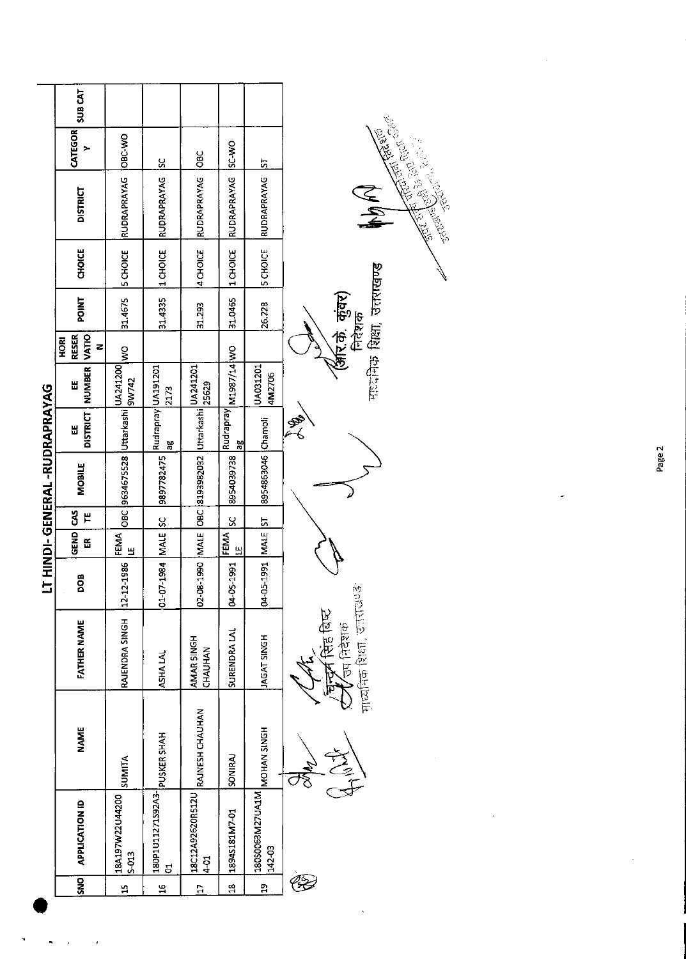|                                                 |                 |                                                                  |                         |           |               | LT HINDI-GENERAL-RUDRAPRAYAG       |                               |                     |                           |                                                        |                |                                                                       |               |                |
|-------------------------------------------------|-----------------|------------------------------------------------------------------|-------------------------|-----------|---------------|------------------------------------|-------------------------------|---------------------|---------------------------|--------------------------------------------------------|----------------|-----------------------------------------------------------------------|---------------|----------------|
| <b>APPLICATION ID</b><br><b>SNO</b>             | <b>NAME</b>     | FATHER NAME                                                      | DOB                     | GEND<br>E | 3<br>٣        | MOBILE                             | <b>DISTRICT</b><br>Ш          | NUMBER VATIO<br>Ш   | <b>RESER</b><br>HORI<br>z | <b>POINT</b>                                           | CHOICE         | <b>DISTRICT</b>                                                       | CATEGOR<br>×  | <b>SUB CAT</b> |
| 18A197W22U44200<br>S-013                        | SUMITA          | RAJENDRA SINGH                                                   | 12 12 1986              | FEMA<br>Щ |               | OBC 9634675528 Uttarkashi UA241200 |                               |                     | $\frac{8}{2}$             | 31.4675                                                | <b>SCHOICE</b> | RUDRAPRAYAG                                                           | OBC-WO        |                |
| 180P1U11271S92A3- PUSKER SHAH<br>$\overline{5}$ |                 | ASHA LAL                                                         | 01-07-1984 MALE SC      |           |               | 9897782475                         | Rudrapray UA191201<br>96<br>G | 2173                |                           | 31.4335                                                | 1 CHOICE       | RUDRAPRAYAG                                                           | $\frac{8}{5}$ |                |
| 18C12A92620R512U<br>$10-1$                      | RAJNESH CHAUHAN | AMAR SINGH<br>CHAUHAN                                            | 02-08-1990 MALE         |           | $\frac{1}{2}$ |                                    |                               | 25629               |                           | 31.293                                                 | 4 CHOICE       | RUDRAPRAYAG                                                           | <b>OBC</b>    |                |
| 18945181M7-01                                   | SONIRAJ         | SURENDRA LAL                                                     | $-05 - 291$<br><u>ន</u> | FEMA<br>ц | SC            | 8954039738                         | Rudrapray<br>æ                | M1987/14 WO         |                           | 31.0465                                                | 1 CHOICE       | <b>RUDRAPRAYAG</b>                                                    | <b>OM-2S</b>  |                |
| 18050063M27UA1M MOHAN SINGH<br>142-03           |                 | <b>HONIS TAGAT</b>                                               | 1661-50<br>g            | MALE      | 52            | 8954863046 Chamoli                 |                               | LUA031201<br>4M2706 |                           | 26.228                                                 | 5 CHOICE       | RUDRAPRAYAG                                                           | <u>5</u>      |                |
| OŞ.                                             |                 | माध्यनिक शिक्षा, उत्तराय<br>$\Rightarrow$ सिह बिष्ट<br>उप निदेशक | ور<br>د                 |           |               |                                    | Š,                            |                     |                           | गायमिक रिक्षा, उत्तराखण्ड<br>(अरि.के. कुंवर)<br>निदेशक |                | STRAIGHTEACH CHRISTIAN CEARCH<br>And of the Control of Region<br>N KN |               |                |

 $\overline{\phantom{a}}$ 

Page 2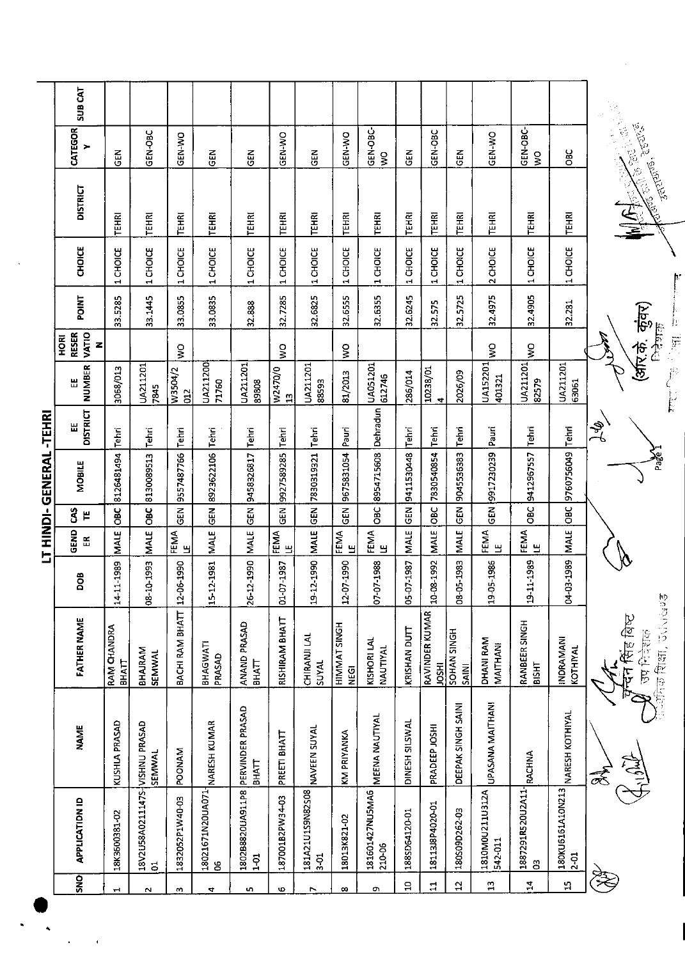|               |                                                                                     |                                  |                                                 |                      | LT HIND-                    |               | GENERAL       | -TEHRI               |                                      |                                    |         |                              |                 |                              |                           |
|---------------|-------------------------------------------------------------------------------------|----------------------------------|-------------------------------------------------|----------------------|-----------------------------|---------------|---------------|----------------------|--------------------------------------|------------------------------------|---------|------------------------------|-----------------|------------------------------|---------------------------|
| <b>SNO</b>    | <b>APPLICATION ID</b>                                                               | <b>NAME</b>                      | <b>FATHER NAME</b>                              | 80Q                  | GEND<br>$\frac{\infty}{15}$ | 3<br>٣        | <b>MOBILE</b> | <b>DISTRICT</b><br>Ш | <b>NUMBER</b><br>出                   | VATIO<br><b>RESER</b><br>HORI<br>Z | POINT   | <b>CHOICE</b>                | <b>DISTRICT</b> | CATEGOR<br>,                 | <b>SUB CAT</b>            |
| $\mathbf{H}$  | 18K3600381-02                                                                       | KUSHLA PRASAD                    | <b>RAM CHANDRA</b><br><b>BHATT</b>              | 14-11-1989           | <b>MALE</b>                 | 3ao           | 8126481494    | Tehri                | 3068/013                             |                                    | 33.5285 | 1 CHOICE                     | TEHRI           | 즈<br>0                       |                           |
| $\sim$        | 18V2U58A0211147S-VISHNU PRASAD<br>$\overline{5}$                                    | SEMMAL                           | BHAJRAM<br>SEMWAL                               | E66T-0T-80           | <b>MALE</b>                 | OBC           | 8130089513    | Tehn                 | UA211201<br>7845                     |                                    | 33.1445 | 1 CHOICE                     | TEHRI           | GEN-OBC                      |                           |
| m             | 1832052P1W40-03                                                                     | <b>POONAM</b>                    | BACHI RAM BHATT                                 | 12-06-1990           | FEMA<br>ு                   | <b>GEN</b>    | 9557487766    | Tehri                | W3504/2<br>$\frac{2}{3}$             | $\frac{1}{2}$                      | 33.0855 | 1 CHOICE                     | <b>TEHRI</b>    | GEN-WO                       |                           |
| 4             | 18021671N20UA071<br>06                                                              | NARESH KUMAR                     | BHAGWATI<br>PRASAD                              | 15-12-1981           | <b>MALE</b>                 | GEN           | 8923622106    | Tehn                 | UA211200<br>71760                    |                                    | 33.0835 | 1 CHOICE                     | <b>TEHRI</b>    | ទី<br>ច                      |                           |
| u.            | 1802B8820UA911P8<br>$\frac{5}{1}$                                                   | PERVINDER PRASAD<br><b>BHATT</b> | ANAND PRASAD<br>ВНАП                            | 26-12-1990           | <b>MALE</b>                 | GEN           | 9458326817    | Tehri                | UA211201<br>89808                    |                                    | 32.888  | 1 CHOICE                     | TEHRI           | <b>GEN</b>                   |                           |
| Φ             | 187001B2PW34-03                                                                     | PREETI BHATT                     | <b>RISHIRAM BHATT</b>                           | $-1987$<br><u>ਰੋ</u> | FEMA<br>巴                   | ទី<br>ទី      | 9927589285    | Tehri                | W2470/0<br>$\mathbf{r}$              | $\frac{0}{5}$                      | 32.7285 | 1 CHOICE                     | TEHRI           | GEN-WO                       |                           |
| r.            | 181A21U1S9N82S08                                                                    | NAVEEN SUYAL                     | CHIRANJI LAL<br>SUYAL                           | 19-12-1990           | <b>MALE</b>                 | $\frac{2}{9}$ | 7830319321    | l Tehn               | UA211201<br>88593                    |                                    | 32.6825 | 1 CHOICE                     | TEHRI           | $rac{2}{5}$                  |                           |
| $\infty$      | 18013K821-02                                                                        | KM PRIYANKA                      | <b>HIMMAT SINGH</b><br><b>VEGI</b>              | 12-07-1990           | FEMA<br>۳                   | 6H            | 9675831054    | Pauri                | 81/2013                              | $\frac{1}{2}$                      | 32.6555 | 1 CHOICE                     | TEHRI           | GEN-WO                       |                           |
| Ō,            | 181601427NU5MA6<br>210-06                                                           | MEENA NAUTIYAL                   | KISHORI LAL<br>NAUTIYAL                         | 07-07-1988           | FEMA<br>ு                   | <b>OBC</b>    | 8954715608    | Dehradun             | UA051201<br>612746                   |                                    | 32.6355 | 1 CHOICE                     | <b>TEHRI</b>    | GEN-OBC-<br>$\frac{1}{2}$    |                           |
| $\Xi$         | 188SD64120-01                                                                       | DINESH SILSWAL                   | KRISHAN DUTT                                    | 05-07-1987           | <b>MALE</b>                 | 준<br>연        | 9411530448    | Tehri                | 286/014                              |                                    | 32.6245 | 1 CHOICE                     | <b>TEHRI</b>    | 군<br>연                       |                           |
| $\mathbf{1}$  | 18113J8P4020-01                                                                     | PRADEEP JOSHI                    | RAVINDER KUMAR<br><b>JOSHI</b>                  | 10-08-1992           | MAIE                        | OBC           | 7830540854    | Tehri                | 10238/01<br>$\overline{\phantom{a}}$ |                                    | 32.575  | 1 CHOICE                     | <b>TEHRI</b>    | GEN-OBC                      |                           |
| $\mathbf{a}$  | 180509D262-03                                                                       | DEEPAK SINGH SAINI               | SOHAN SINGH<br><b>SAINI</b>                     | 08-05-1983           | <b>MALE</b>                 | មិ<br>មិ      | 9045536383    | Tehri                | 2026/09                              |                                    | 32.5/25 | 1 CHOICE                     | <b>TEHRI</b>    | EN<br>9                      |                           |
| $\mathbf{u}$  | 1810M0U211U312A<br>542-011                                                          | UPASANA MAITHANI                 | DHANI RAM<br>MAITHANI                           | 19-05-1986           | FEMA<br>۳                   | GEN           | 9917230239    | Pauri                | UA152201<br>401321                   | $\frac{0}{5}$                      | 32.4975 | 2 CHOICE                     | <b>TEHRI</b>    | GEN-WO                       |                           |
| 국             | 1887291R520U2A11-<br>03                                                             | RACHNA                           | RANBEER SINGH<br><b>BISHT</b>                   | 19-11-1989           | FEMA<br>쁰                   | OBC           | 9412967557    | Tehri                | UA211201<br>82579                    | Š                                  | 32.4905 | 1 CHOICE                     | TEHRI           | GEN-OBC-<br>$\mathbf{S}$     |                           |
| $\frac{1}{2}$ | $\begin{array}{c}   \text{36KUS} 151 \text{A10W213}   \\   \text{2-01} \end{array}$ | <b>NARESH KOTHIYAL</b>           | INDRAMANI<br>KOTHIYAL                           | 04-03-1989           | MALE                        | ÖВC           | 9760756049    | Tehri                | UA211201<br>63061                    |                                    | 32.281  | <b>CHOIL</b><br>$\mathbf{r}$ | <b>TEHRI</b>    | OBC                          |                           |
|               |                                                                                     |                                  |                                                 |                      |                             |               |               | $\frac{2}{5}$        |                                      |                                    |         |                              |                 |                              | $\frac{1}{2} \frac{1}{2}$ |
|               |                                                                                     | 全身                               | <b>Particle Section</b><br>चन सिंह बिष्ट<br>高在区 |                      |                             |               | Page 1        |                      |                                      | (अरि.के कुंवर)<br>おけい<br>F         | Ì.      |                              | <b>STRIVES!</b> | <b>SERIES</b><br><b>BOOK</b> |                           |

l,

 $\ddot{\phantom{1}}$ 

 $\ddot{\phantom{0}}$ 

 $\ddot{\phantom{0}}$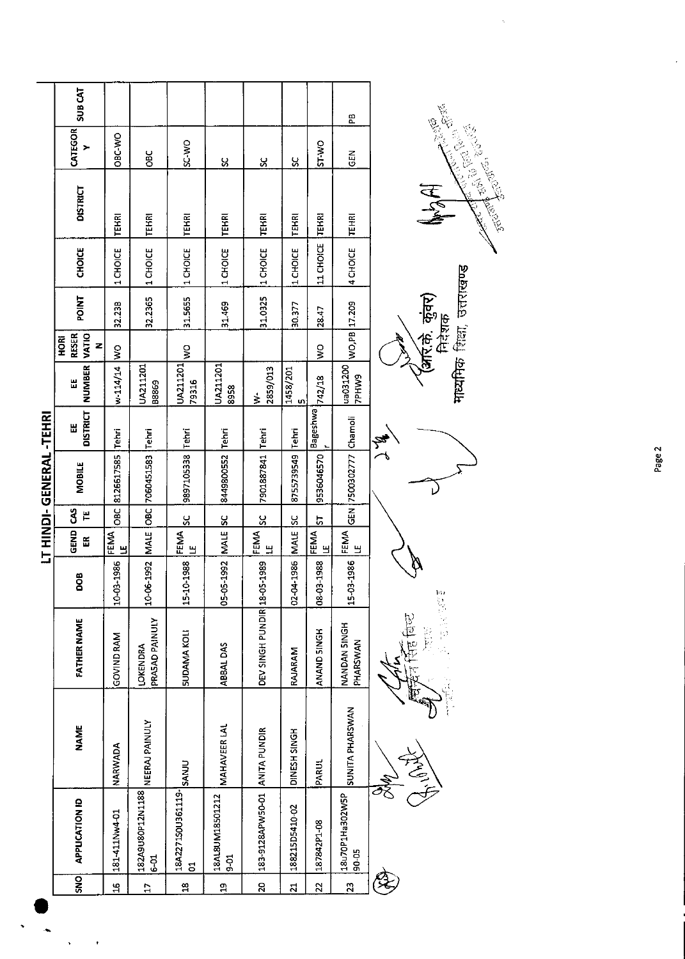|                              | <b>SUB CAT</b>                     |                   |                                   |                              |                                  |                               |                         |                              | 뚠                        |                             |
|------------------------------|------------------------------------|-------------------|-----------------------------------|------------------------------|----------------------------------|-------------------------------|-------------------------|------------------------------|--------------------------|-----------------------------|
|                              | CATEGOR<br>>                       | OBC-WO            | OBC                               | SC WO                        | ೪                                | χ                             | ပ္တ                     | ST-WO                        | ER<br>5                  | <b>Allen Branch</b>         |
|                              | <b>DISTRICT</b>                    | <b>TEHRI</b>      | <b>TEHRI</b>                      | <b>TEHRI</b>                 | <b>TEHRI</b>                     | <b>TEHRI</b>                  | <b>TEHRI</b>            | <b>TEHRI</b>                 | TEHRI                    | Article (2019) Price<br>MAR |
|                              | <b>CHOICE</b>                      | 1 CHOICE          | 1 CHOICE                          | 1 CHOICE                     | 1 CHOICE                         | 1 CHOICE                      | 1 CHOICE                | 11 CHOICE                    | 4 CHOICE                 |                             |
|                              | <b>POINT</b>                       | 32.23B            | 32.2365                           | 31.5655                      | 31.469                           | 31.0325                       | 30.377                  | 28.47                        |                          | (अर्रि.के. कुंवर)<br>निदेशक |
|                              | <b>RESER</b><br>VATIO<br>HORI<br>Z | $\frac{1}{2}$     |                                   | $\frac{8}{5}$                |                                  |                               |                         | Ş                            | WO,PB 17.209             |                             |
|                              | NUMBER<br>쁪                        | $w - 114/14$      | UA211201<br>B8869                 | UA211201<br>79316            | UA211201<br>8958                 | 2859/013<br>$\frac{1}{2}$     | 1458/201<br>in,         |                              | ua031200<br><b>SMHdZ</b> | माध्यमिक शिक्षा, उत्तराखण्ड |
|                              | <b>DISTRICT</b><br>띮               | Tehri             | Tehn                              | <b>Tehri</b>                 |                                  |                               | Tehn                    | Bageshwa   <sub>742/18</sub> |                          | ∖<br>∕a                     |
| <b>IT HINDI-GENERAL-TEHR</b> | <b>MOBILE</b>                      | 8126617585        | OBC 7060451583                    | 9897105338                   | 8449800552 Tehri                 | 7901887841 Tehri              | 8755739549              | 9536046570                   | GEN 7500302777 Chamoli   |                             |
|                              | 3<br>٣                             | OBC               |                                   | S,                           | ပ္တ                              | 55                            | X                       | r,                           |                          |                             |
|                              | GEND<br>岊                          | FEMA<br>님         | MALE                              | <b>FEMA</b><br>LE            | <b>MALE</b>                      | FEMA<br>LE                    | <b>MALE</b>             | IEMA<br> E                   | <b>FEMA</b><br>LE<br>LE  |                             |
|                              | DOB                                | 13-1986<br>오<br>다 | 6-1992<br>$\frac{5}{10}$          | 0-1988<br>$\frac{1}{2}$      | 5-1992<br>ე<br>აქ                | 15-1989                       | 02-04-1986              | 08-03-1988                   | 15-03-1986               | 四日                          |
|                              | <b>FATHER NAME</b>                 | <b>GOVIND RAM</b> | PRASAD PAINULY<br><b>LOKENDRA</b> | <b>SUDAMA KOLI</b>           | ABBAL DAS                        | DEV SINGH PUNDIR 18-C         | RAJARAM                 | ANAND SINGH                  | NANDAN SINGH<br>PHARSWAN |                             |
|                              | <b>NAME</b>                        | NARWADA           | NEERAJ PAINULY                    |                              | <b>MAHAVEER LAL</b>              |                               | DINESH SINGH            | PARUL                        | SUNITA PHARSWAN          |                             |
|                              | <b>APPLICATION ID</b>              | 181411Nw4-01      | 182A9U80P12N1188<br>$\frac{5}{6}$ | 18A227150U361119-SANJU<br>S. | 18AL8UM18501212<br>$\frac{5}{9}$ | 183-9128APW50-01 ANITA PUNDIR | 188215D5410-02          | 187842P1-08                  | 18u70P1Ha302W5P<br>90-05 |                             |
|                              | <b>ONS</b>                         | $\frac{16}{1}$    | $\overline{17}$                   | $\frac{8}{10}$               | $\mathbf{a}$                     | $\overline{5}$                | $\overline{\mathbf{z}}$ | 22                           | $\overline{23}$          |                             |

 $\ddot{\phantom{1}}$ 

 $\ddot{\phantom{0}}$ 

 $\ddot{\phantom{0}}$ 

i,

Page 2

 $\frac{1}{\sqrt{2}}$ 

 $\frac{1}{2}$ 

**Articles** 

Controller Control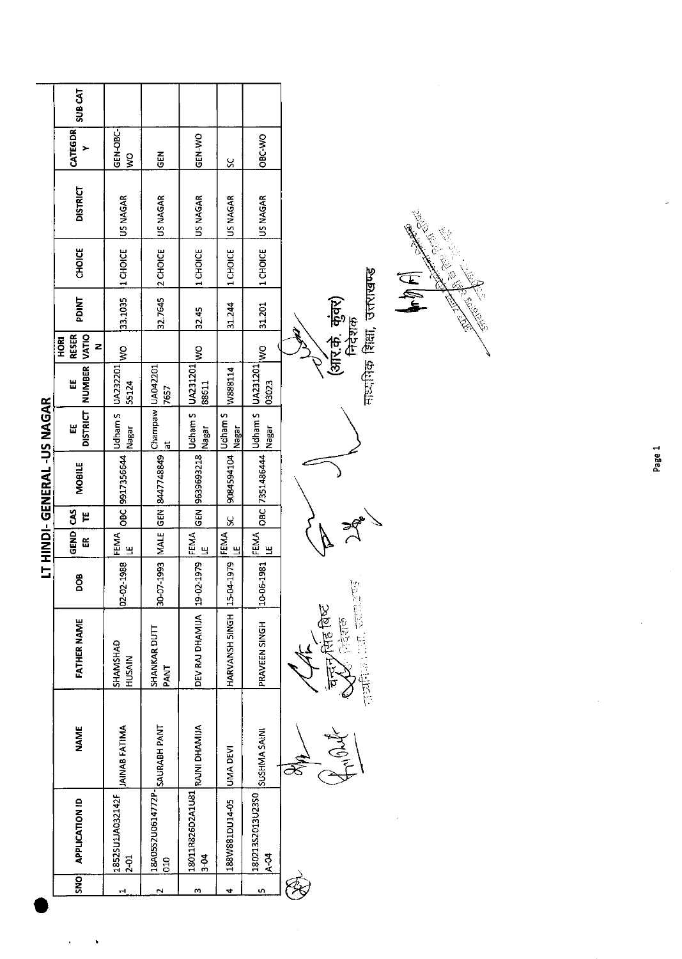|              |                                                |                      |                                           |                 |                                  |   | LT HINDI- GENERAL -US NAGAR |                               |                             |                                           |                                             |                   |                 |                     |                |
|--------------|------------------------------------------------|----------------------|-------------------------------------------|-----------------|----------------------------------|---|-----------------------------|-------------------------------|-----------------------------|-------------------------------------------|---------------------------------------------|-------------------|-----------------|---------------------|----------------|
| <b>SNO</b>   | <b>APPLICATION ID</b>                          | <b>NAME</b>          | <b>FATHER NAME</b>                        | <b>BOO</b>      | GEND CAS<br>EK                   | ٣ | <b>MOBILE</b>               | <b>DISTRICT</b><br>出          | NUMBER<br>出                 | <b>VATIO</b><br><b>RESER</b><br>HORI<br>z | <b>TAIO4</b>                                | CHOICE            | <b>DISTRICT</b> | <b>CATEGDR</b><br>> | <b>SUB CAT</b> |
| ᆒ            | 1852SU1JA032142F<br>$2 - 01$                   | <b>JAINAB FATIMA</b> | SHAMSHAD<br>HUSAIN                        | 02-02-1988      | FEMA <sup></sup><br>$\mathbf{u}$ |   | OBC 9917356644              | Udham S<br><b>Nagar</b>       | UA232201<br>55124           | $\frac{8}{3}$                             | 33.1035                                     | 1 CHOICE          | US NAGAR        | GEN-OBC-<br>Ş       |                |
| $\sim$       | <b>18A05S2U0614772P- SAURABH PANT</b><br>010   |                      | <b>SHANKAR DUTT</b><br><b>PANT</b>        | 30-07-1993 MALE |                                  |   | GEN 8447748849              | Champaw UA042201<br>$\vec{a}$ | 7657                        |                                           | 32.7645                                     | 2 CHOICE          | US NAGAR        | 군<br>5              |                |
| m            | ALIMAHQ INLAS   RAJNI DANGSALIOSLI<br>$3 - 04$ |                      | DEV RAJ DHAMIJA 19-02-1979                |                 | FEMA<br>۳                        |   | GEN 9639693218              | Udham S<br>Nagar              | UA231201<br>88611           | ş                                         | 32.45                                       | 1 CHOICE          | US NAGAR        | GEN-WO              |                |
| 4            | 188W881DU14-05                                 | UMA DEVI             | HARVANSH SINGH                            | 15-04-1979      | <b>FEMA</b><br>LE                | Š | 9084594104                  | Udham S<br>Nagar              | W888114                     |                                           | 31.244                                      | 1 CHOICE          | US NAGAR        | ပ္တ                 |                |
| $\mathbf{r}$ | 180213S2013U23S0<br>$ A - 04 $                 | SUSHMA SAINI         | PRAVEEN SINGH                             | 10-06-1981      | FEMA<br>Щ                        |   | OBC 7351486444              | Udham S<br><b>Nagar</b>       | UA231201<br>03023           | $\tilde{\mathbf{z}}$                      | 31.201                                      | 1 CHOICE          | US NAGAR        | OBC-WO              |                |
|              |                                                |                      | <b>THE FACE</b><br>ोदेशक<br>$\frac{1}{2}$ | <b>Book</b>     |                                  |   |                             |                               | माध्यमिक शिक्षा, उत्तराखण्ड |                                           | $\mathbb{H}^4$<br>(अरि.के. कुंवर)<br>निदेशक |                   |                 |                     |                |
|              |                                                |                      |                                           |                 |                                  |   |                             |                               |                             |                                           |                                             | <b>CONTROLLER</b> | Collage River   |                     |                |

 $\hat{\mathcal{A}}$ 

 $\hat{C}^{(1)}$  $\ddot{\phantom{0}}$  Page 1

 $\hat{\boldsymbol{\theta}}$ 

 $\ddot{\phantom{a}}$ 

 $\overline{\phantom{a}}$ 

Construction of the Construction of the Construction of the Construction of the Construction of the Construction of the Construction of the Construction of the Construction of the Construction of the Construction of the Co

 $\checkmark$